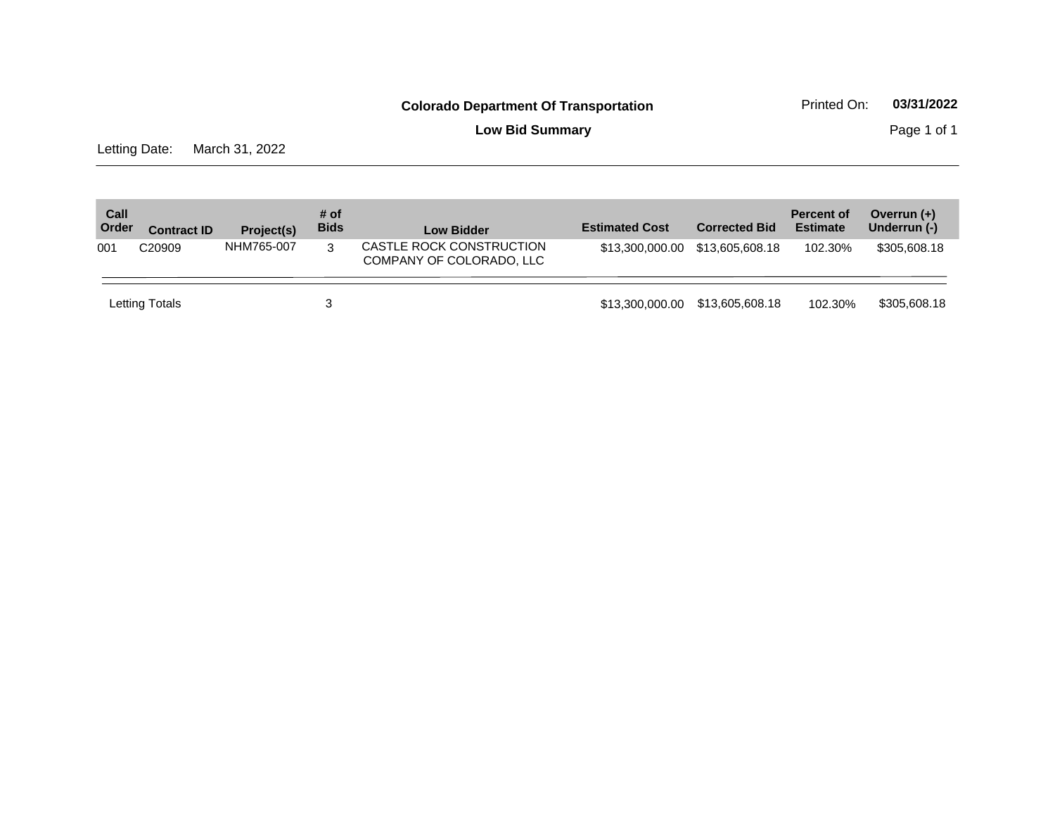**Low Bid Summary Page 1 of 1** 

Letting Date: March 31, 2022

| Call<br>Order | <b>Contract ID</b> | Project(s) | # of<br><b>Bids</b> | <b>Low Bidder</b>                                    | <b>Estimated Cost</b> | <b>Corrected Bid</b> | <b>Percent of</b><br><b>Estimate</b> | Overrun $(+)$<br>Underrun (-) |
|---------------|--------------------|------------|---------------------|------------------------------------------------------|-----------------------|----------------------|--------------------------------------|-------------------------------|
| 001           | C <sub>20909</sub> | NHM765-007 | 3                   | CASTLE ROCK CONSTRUCTION<br>COMPANY OF COLORADO, LLC | \$13.300.000.00       | \$13,605,608.18      | 102.30%                              | \$305,608.18                  |
|               | Letting Totals     |            |                     |                                                      | \$13.300.000.00       | \$13,605,608.18      | 102.30%                              | \$305,608.18                  |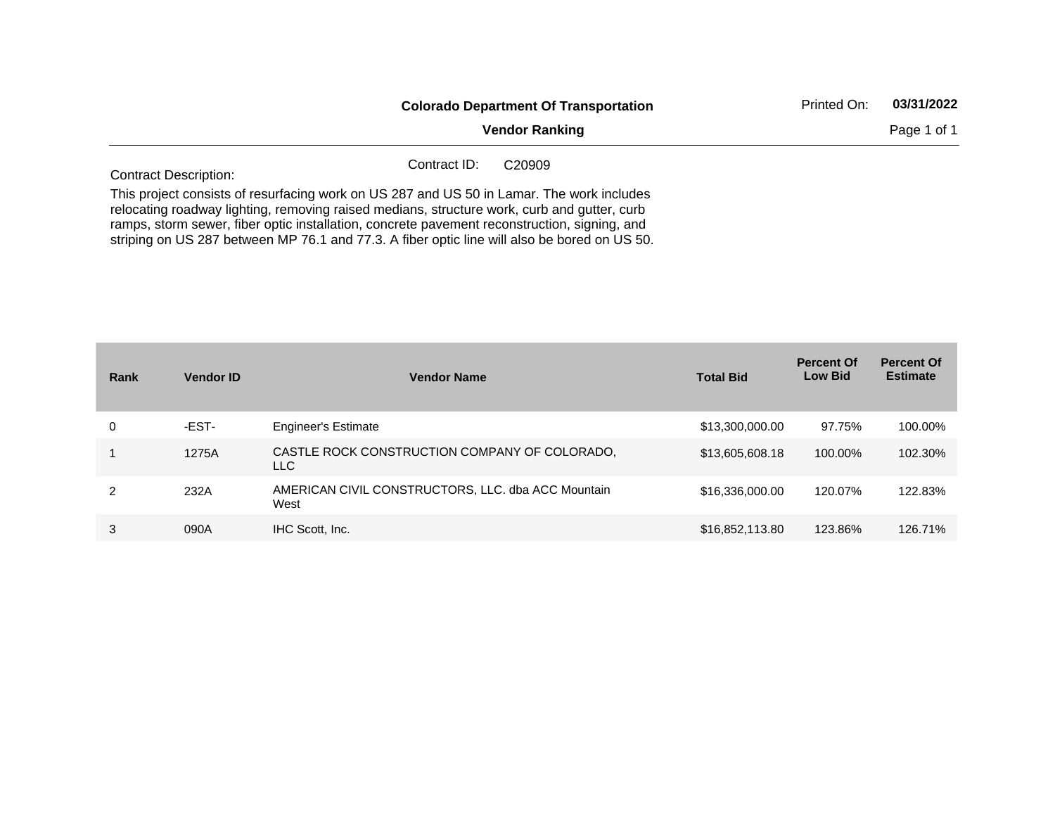|                              | <b>Colorado Department Of Transportation</b>                                                                                                                                                                                                                                             | Printed On: | 03/31/2022  |
|------------------------------|------------------------------------------------------------------------------------------------------------------------------------------------------------------------------------------------------------------------------------------------------------------------------------------|-------------|-------------|
|                              | <b>Vendor Ranking</b>                                                                                                                                                                                                                                                                    |             | Page 1 of 1 |
| <b>Contract Description:</b> | Contract ID:<br>C <sub>20909</sub>                                                                                                                                                                                                                                                       |             |             |
|                              | This project consists of resurfacing work on US 287 and US 50 in Lamar. The work includes<br>relocating roadway lighting, removing raised medians, structure work, curb and gutter, curb<br>ramps, storm sewer, fiber optic installation, concrete pavement reconstruction, signing, and |             |             |

striping on US 287 between MP 76.1 and 77.3. A fiber optic line will also be bored on US 50.

| Rank | <b>Vendor ID</b> | <b>Vendor Name</b>                                         | <b>Total Bid</b> | <b>Percent Of</b><br><b>Low Bid</b> | <b>Percent Of</b><br><b>Estimate</b> |
|------|------------------|------------------------------------------------------------|------------------|-------------------------------------|--------------------------------------|
| 0    | -EST-            | <b>Engineer's Estimate</b>                                 | \$13,300,000.00  | 97.75%                              | 100.00%                              |
|      | 1275A            | CASTLE ROCK CONSTRUCTION COMPANY OF COLORADO.<br>LLC.      | \$13,605,608.18  | 100.00%                             | 102.30%                              |
| 2    | 232A             | AMERICAN CIVIL CONSTRUCTORS, LLC. dba ACC Mountain<br>West | \$16,336,000.00  | 120.07%                             | 122.83%                              |
| 3    | 090A             | IHC Scott, Inc.                                            | \$16,852,113.80  | 123.86%                             | 126.71%                              |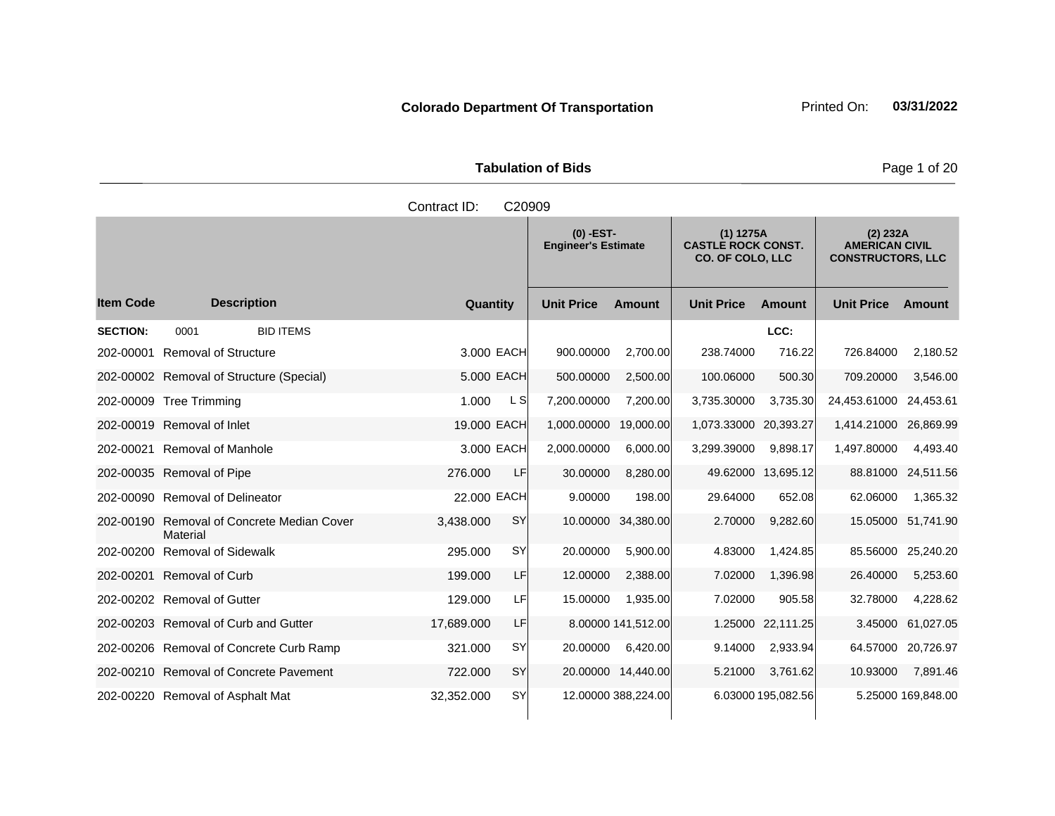|                     | <b>Tabulation of Bids</b> |  |
|---------------------|---------------------------|--|
| Contract ID: C20909 |                           |  |

|                  |                                              |             |           | $(0)$ -EST-<br><b>Engineer's Estimate</b> |                     | $(1)$ 1275A<br><b>CASTLE ROCK CONST.</b><br><b>CO. OF COLO, LLC</b> |                    | $(2)$ 232A<br><b>AMERICAN CIVIL</b><br><b>CONSTRUCTORS, LLC</b> |                    |
|------------------|----------------------------------------------|-------------|-----------|-------------------------------------------|---------------------|---------------------------------------------------------------------|--------------------|-----------------------------------------------------------------|--------------------|
| <b>Item Code</b> | <b>Description</b>                           | Quantity    |           | <b>Unit Price</b>                         | <b>Amount</b>       | <b>Unit Price</b>                                                   | <b>Amount</b>      | <b>Unit Price</b>                                               | Amount             |
| <b>SECTION:</b>  | 0001<br><b>BID ITEMS</b>                     |             |           |                                           |                     |                                                                     | LCC:               |                                                                 |                    |
| 202-00001        | <b>Removal of Structure</b>                  | 3.000 EACH  |           | 900.00000                                 | 2,700.00            | 238.74000                                                           | 716.22             | 726.84000                                                       | 2,180.52           |
|                  | 202-00002 Removal of Structure (Special)     | 5,000 EACH  |           | 500.00000                                 | 2,500.00            | 100.06000                                                           | 500.30             | 709.20000                                                       | 3,546.00           |
|                  | 202-00009 Tree Trimming                      | 1.000       | L SI      | 7,200.00000                               | 7,200.00            | 3,735.30000                                                         | 3,735.30           | 24,453.61000 24,453.61                                          |                    |
|                  | 202-00019 Removal of Inlet                   | 19.000 EACH |           | 1,000.00000                               | 19,000.00           | 1,073.33000                                                         | 20,393.27          | 1,414.21000 26,869.99                                           |                    |
|                  | 202-00021 Removal of Manhole                 | 3.000 EACH  |           | 2,000.00000                               | 6,000.00            | 3,299.39000                                                         | 9,898.17           | 1,497.80000                                                     | 4,493.40           |
|                  | 202-00035 Removal of Pipe                    | 276,000     | LF        | 30.00000                                  | 8,280.00            |                                                                     | 49.62000 13,695.12 |                                                                 | 88.81000 24,511.56 |
|                  | 202-00090 Removal of Delineator              | 22.000 EACH |           | 9.00000                                   | 198.00              | 29.64000                                                            | 652.08             | 62.06000                                                        | 1,365.32           |
| 202-00190        | Removal of Concrete Median Cover<br>Material | 3,438.000   | SY        | 10.00000                                  | 34,380.00           | 2.70000                                                             | 9,282.60           |                                                                 | 15.05000 51,741.90 |
| 202-00200        | <b>Removal of Sidewalk</b>                   | 295.000     | SY        | 20.00000                                  | 5.900.00            | 4.83000                                                             | 1,424.85           |                                                                 | 85.56000 25,240.20 |
|                  | 202-00201 Removal of Curb                    | 199.000     | LF        | 12.00000                                  | 2,388.00            | 7.02000                                                             | 1,396.98           | 26.40000                                                        | 5,253.60           |
|                  | 202-00202 Removal of Gutter                  | 129.000     | LF        | 15.00000                                  | 1,935.00            | 7.02000                                                             | 905.58             | 32.78000                                                        | 4,228.62           |
|                  | 202-00203 Removal of Curb and Gutter         | 17,689.000  | LF        |                                           | 8.00000 141,512.00  | 1.25000                                                             | 22,111.25          | 3.45000                                                         | 61,027.05          |
|                  | 202-00206 Removal of Concrete Curb Ramp      | 321.000     | <b>SY</b> | 20.00000                                  | 6,420.00            | 9.14000                                                             | 2,933.94           |                                                                 | 64.57000 20,726.97 |
|                  | 202-00210 Removal of Concrete Pavement       | 722.000     | SY        |                                           | 20.00000 14,440.00  | 5.21000                                                             | 3,761.62           | 10.93000                                                        | 7,891.46           |
|                  | 202-00220 Removal of Asphalt Mat             | 32,352.000  | <b>SY</b> |                                           | 12.00000 388,224.00 |                                                                     | 6.03000 195,082.56 |                                                                 | 5.25000 169,848.00 |

**Page 1 of 20**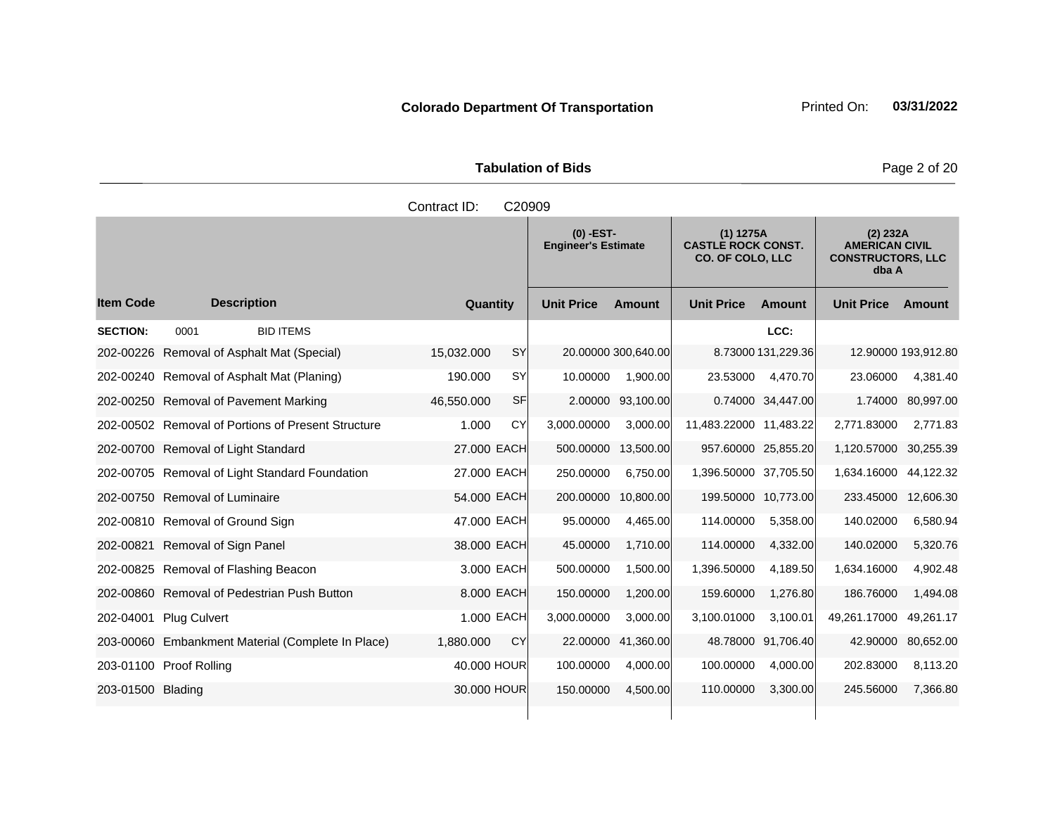**Tabulation of Bids Page 2 of 20** 

|                   |                                                    | Contract ID:<br>C20909  |                                                                                                                  |               |                                                                        |                    |                   |                     |
|-------------------|----------------------------------------------------|-------------------------|------------------------------------------------------------------------------------------------------------------|---------------|------------------------------------------------------------------------|--------------------|-------------------|---------------------|
|                   |                                                    |                         | $(0)$ -EST-<br>$(1)$ 1275A<br><b>Engineer's Estimate</b><br><b>CASTLE ROCK CONST.</b><br><b>CO. OF COLO, LLC</b> |               | (2) 232A<br><b>AMERICAN CIVIL</b><br><b>CONSTRUCTORS, LLC</b><br>dba A |                    |                   |                     |
| <b>Item Code</b>  | <b>Description</b>                                 | Quantity                | <b>Unit Price</b>                                                                                                | <b>Amount</b> | <b>Unit Price</b>                                                      | <b>Amount</b>      | <b>Unit Price</b> | Amount              |
| <b>SECTION:</b>   | <b>BID ITEMS</b><br>0001                           |                         |                                                                                                                  |               |                                                                        | LCC:               |                   |                     |
| 202-00226         | Removal of Asphalt Mat (Special)                   | <b>SY</b><br>15,032.000 | 20.00000 300,640.00                                                                                              |               |                                                                        | 8.73000 131,229.36 |                   | 12.90000 193,912.80 |
|                   | 202-00240 Removal of Asphalt Mat (Planing)         | 190.000<br><b>SY</b>    | 10.00000                                                                                                         | 1,900.00      | 23.53000                                                               | 4,470.70           | 23.06000          | 4,381.40            |
|                   | 202-00250 Removal of Pavement Marking              | SF<br>46,550.000        | 2.00000                                                                                                          | 93,100.00     |                                                                        | 0.74000 34,447.00  | 1.74000           | 80,997.00           |
|                   | 202-00502 Removal of Portions of Present Structure | 1.000<br>CY             | 3,000.00000                                                                                                      | 3,000.00      | 11,483.22000 11,483.22                                                 |                    | 2,771.83000       | 2,771.83            |
|                   | 202-00700 Removal of Light Standard                | 27.000 EACH             | 500.00000                                                                                                        | 13,500.00     | 957.60000 25,855.20                                                    |                    | 1,120.57000       | 30,255.39           |
|                   | 202-00705 Removal of Light Standard Foundation     | 27.000 EACH             | 250.00000                                                                                                        | 6,750.00      | 1,396.50000 37,705.50                                                  |                    | 1,634.16000       | 44,122.32           |
|                   | 202-00750 Removal of Luminaire                     | 54.000 EACH             | 200.00000                                                                                                        | 10,800.00     | 199.50000 10,773.00                                                    |                    | 233.45000         | 12,606.30           |
|                   | 202-00810 Removal of Ground Sign                   | 47.000 EACH             | 95.00000                                                                                                         | 4,465.00      | 114.00000                                                              | 5,358.00           | 140.02000         | 6,580.94            |
| 202-00821         | Removal of Sign Panel                              | 38.000 EACH             | 45.00000                                                                                                         | 1,710.00      | 114.00000                                                              | 4,332.00           | 140.02000         | 5,320.76            |
|                   | 202-00825 Removal of Flashing Beacon               | 3.000 EACH              | 500.00000                                                                                                        | 1,500.00      | 1,396.50000                                                            | 4,189.50           | 1,634.16000       | 4,902.48            |
|                   | 202-00860 Removal of Pedestrian Push Button        | 8.000 EACH              | 150.00000                                                                                                        | 1,200.00      | 159.60000                                                              | 1,276.80           | 186.76000         | 1,494.08            |
| 202-04001         | <b>Plug Culvert</b>                                | 1.000 EACH              | 3,000.00000                                                                                                      | 3.000.00      | 3,100.01000                                                            | 3.100.01           | 49,261.17000      | 49,261.17           |
|                   | 203-00060 Embankment Material (Complete In Place)  | 1,880.000<br>CY         | 22.00000                                                                                                         | 41,360.00     |                                                                        | 48.78000 91,706.40 | 42.90000          | 80,652.00           |
|                   | 203-01100 Proof Rolling                            | 40.000 HOUR             | 100.00000                                                                                                        | 4,000.00      | 100.00000                                                              | 4,000.00           | 202.83000         | 8,113.20            |
| 203-01500 Blading |                                                    | 30,000 HOUR             | 150.00000                                                                                                        | 4,500.00      | 110.00000                                                              | 3,300.00           | 245.56000         | 7,366.80            |
|                   |                                                    |                         |                                                                                                                  |               |                                                                        |                    |                   |                     |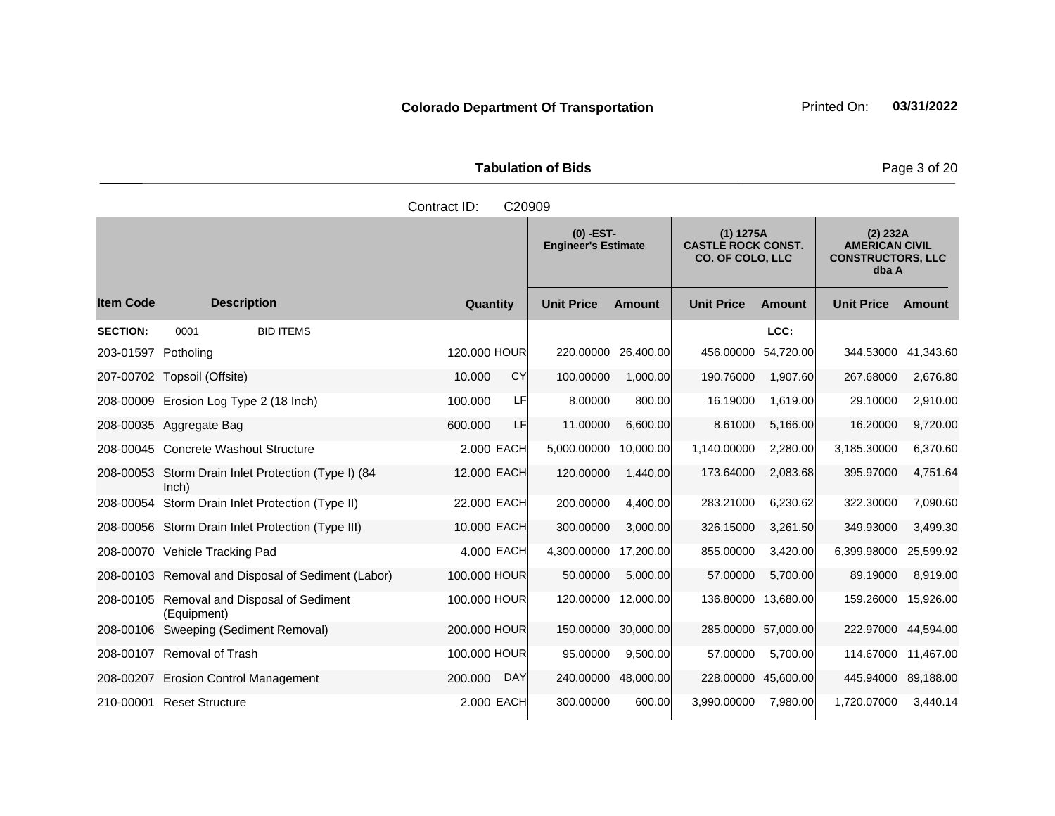|                     | <b>Tabulation of Bids</b> |  |
|---------------------|---------------------------|--|
| Contract ID: C20909 |                           |  |
|                     |                           |  |

and the state of the state of the

|                     | $(0)$ -EST-<br>$(1)$ 1275A<br><b>CASTLE ROCK CONST.</b><br><b>Engineer's Estimate</b><br><b>CO. OF COLO, LLC</b> |                       |                   | (2) 232A<br><b>AMERICAN CIVIL</b><br><b>CONSTRUCTORS, LLC</b><br>dba A |                   |                     |                   |                     |
|---------------------|------------------------------------------------------------------------------------------------------------------|-----------------------|-------------------|------------------------------------------------------------------------|-------------------|---------------------|-------------------|---------------------|
| <b>Item Code</b>    | <b>Description</b>                                                                                               | Quantity              | <b>Unit Price</b> | <b>Amount</b>                                                          | <b>Unit Price</b> | <b>Amount</b>       | <b>Unit Price</b> | Amount              |
| <b>SECTION:</b>     | <b>BID ITEMS</b><br>0001                                                                                         |                       |                   |                                                                        |                   | LCC:                |                   |                     |
| 203-01597 Potholing |                                                                                                                  | 120,000 HOUR          | 220.00000         | 26,400.00                                                              | 456.00000         | 54,720.00           | 344.53000         | 41,343.60           |
|                     | 207-00702 Topsoil (Offsite)                                                                                      | CY<br>10.000          | 100.00000         | 1,000.00                                                               | 190.76000         | 1,907.60            | 267.68000         | 2,676.80            |
|                     | 208-00009 Erosion Log Type 2 (18 Inch)                                                                           | 100.000<br>LF         | 8.00000           | 800.00                                                                 | 16.19000          | 1,619.00            | 29.10000          | 2,910.00            |
|                     | 208-00035 Aggregate Bag                                                                                          | 600,000<br><b>LF</b>  | 11.00000          | 6,600.00                                                               | 8.61000           | 5,166.00            | 16.20000          | 9,720.00            |
|                     | 208-00045 Concrete Washout Structure                                                                             | 2.000 EACH            | 5,000.00000       | 10,000.00                                                              | 1,140.00000       | 2,280.00            | 3,185.30000       | 6,370.60            |
|                     | 208-00053 Storm Drain Inlet Protection (Type I) (84<br>lnch)                                                     | 12.000 EACH           | 120.00000         | 1,440.00                                                               | 173.64000         | 2,083.68            | 395.97000         | 4,751.64            |
| 208-00054           | Storm Drain Inlet Protection (Type II)                                                                           | 22,000 EACH           | 200.00000         | 4,400.00                                                               | 283.21000         | 6,230.62            | 322.30000         | 7,090.60            |
|                     | 208-00056 Storm Drain Inlet Protection (Type III)                                                                | 10.000 EACH           | 300.00000         | 3,000.00                                                               | 326.15000         | 3,261.50            | 349.93000         | 3,499.30            |
|                     | 208-00070 Vehicle Tracking Pad                                                                                   | 4.000 EACH            | 4,300.00000       | 17,200.00                                                              | 855.00000         | 3,420.00            | 6,399.98000       | 25,599.92           |
|                     | 208-00103 Removal and Disposal of Sediment (Labor)                                                               | 100.000 HOUR          | 50.00000          | 5,000.00                                                               | 57.00000          | 5,700.00            | 89.19000          | 8,919.00            |
|                     | 208-00105 Removal and Disposal of Sediment<br>(Equipment)                                                        | 100.000 HOUR          | 120,00000         | 12,000.00                                                              |                   | 136.80000 13,680.00 | 159.26000         | 15,926.00           |
|                     | 208-00106 Sweeping (Sediment Removal)                                                                            | 200,000 HOUR          | 150.00000         | 30,000.00                                                              |                   | 285.00000 57,000.00 |                   | 222.97000 44,594.00 |
| 208-00107           | <b>Removal of Trash</b>                                                                                          | 100,000 HOUR          | 95.00000          | 9,500.00                                                               | 57.00000          | 5,700.00            |                   | 114.67000 11,467.00 |
|                     | 208-00207 Erosion Control Management                                                                             | 200.000<br><b>DAY</b> | 240.00000         | 48,000.00                                                              |                   | 228.00000 45,600.00 |                   | 445.94000 89,188.00 |
|                     | 210-00001 Reset Structure                                                                                        | 2.000 EACH            | 300.00000         | 600.00                                                                 | 3,990.00000       | 7,980.00            | 1,720.07000       | 3,440.14            |

and the state of the

Page 3 of 20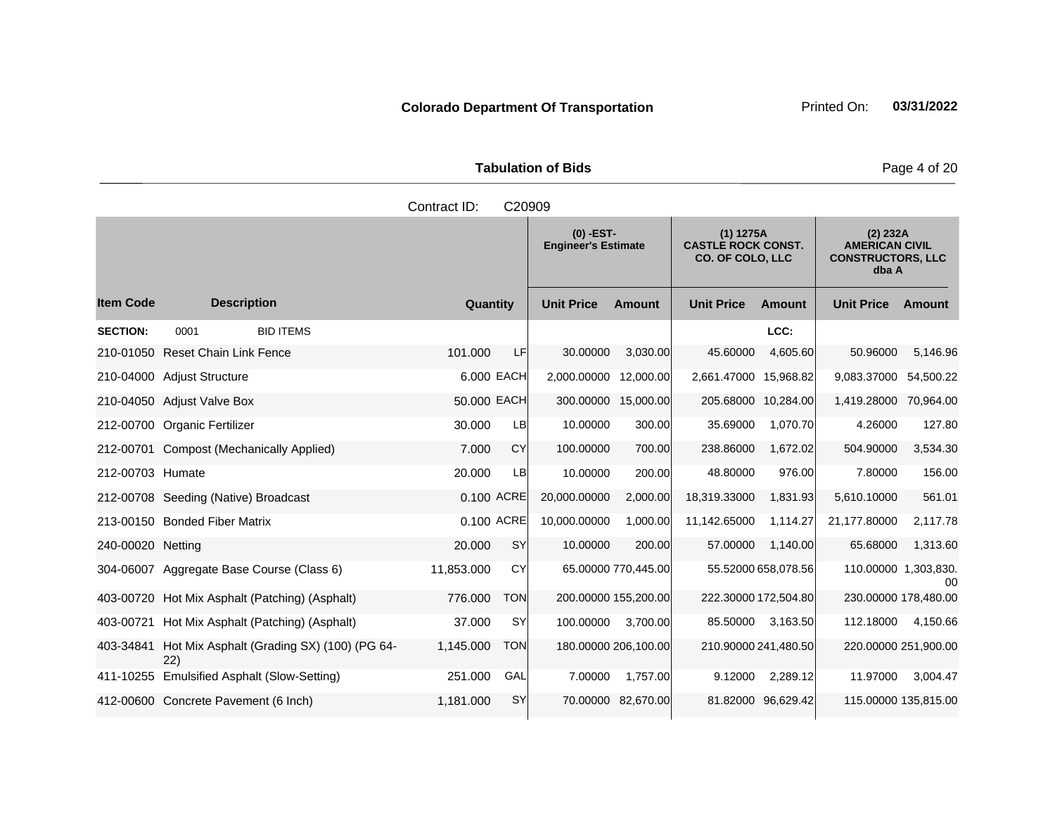|                     | <b>Tabulation of Bids</b> |  |
|---------------------|---------------------------|--|
| Contract ID: C20909 | $\sim$                    |  |

|                   |                                                    |             |            | $(0)$ -EST-<br><b>Engineer's Estimate</b> |                     | $(1)$ 1275A<br><b>CASTLE ROCK CONST.</b><br><b>CO. OF COLO, LLC</b> |                      | (2) 232A<br><b>AMERICAN CIVIL</b><br><b>CONSTRUCTORS, LLC</b><br>dba A |               |
|-------------------|----------------------------------------------------|-------------|------------|-------------------------------------------|---------------------|---------------------------------------------------------------------|----------------------|------------------------------------------------------------------------|---------------|
| <b>Item Code</b>  | <b>Description</b>                                 | Quantity    |            | <b>Unit Price</b>                         | <b>Amount</b>       | <b>Unit Price</b>                                                   | <b>Amount</b>        | <b>Unit Price</b>                                                      | <b>Amount</b> |
| <b>SECTION:</b>   | <b>BID ITEMS</b><br>0001                           |             |            |                                           |                     |                                                                     | LCC:                 |                                                                        |               |
|                   | 210-01050 Reset Chain Link Fence                   | 101.000     | LF         | 30.00000                                  | 3,030.00            | 45.60000                                                            | 4,605.60             | 50.96000                                                               | 5,146.96      |
|                   | 210-04000 Adjust Structure                         | 6.000 EACH  |            | 2,000.00000                               | 12,000.00           | 2,661.47000                                                         | 15,968.82            | 9,083.37000                                                            | 54.500.22     |
|                   | 210-04050 Adjust Valve Box                         | 50.000 EACH |            | 300.00000 15,000.00                       |                     |                                                                     | 205.68000 10,284.00  | 1,419.28000                                                            | 70,964.00     |
|                   | 212-00700 Organic Fertilizer                       | 30.000      | LB         | 10.00000                                  | 300.00              | 35.69000                                                            | 1,070.70             | 4.26000                                                                | 127.80        |
| 212-00701         | <b>Compost (Mechanically Applied)</b>              | 7.000       | CY         | 100.00000                                 | 700.00              | 238.86000                                                           | 1,672.02             | 504.90000                                                              | 3,534.30      |
| 212-00703 Humate  |                                                    | 20.000      | LB         | 10.00000                                  | 200.00              | 48.80000                                                            | 976.00               | 7.80000                                                                | 156.00        |
|                   | 212-00708 Seeding (Native) Broadcast               | 0.100 ACRE  |            | 20,000.00000                              | 2,000.00            | 18,319.33000                                                        | 1,831.93             | 5,610.10000                                                            | 561.01        |
|                   | 213-00150 Bonded Fiber Matrix                      | 0.100 ACRE  |            | 10,000.00000                              | 1,000.00            | 11,142.65000                                                        | 1.114.27             | 21,177.80000                                                           | 2,117.78      |
| 240-00020 Netting |                                                    | 20,000      | <b>SY</b>  | 10.00000                                  | 200.00              | 57.00000                                                            | 1,140.00             | 65.68000                                                               | 1,313.60      |
|                   | 304-06007 Aggregate Base Course (Class 6)          | 11,853.000  | CY         |                                           | 65.00000 770,445.00 |                                                                     | 55.52000 658,078.56  | 110.00000 1,303,830.                                                   | 00            |
|                   | 403-00720 Hot Mix Asphalt (Patching) (Asphalt)     | 776.000     | <b>TON</b> | 200.00000 155,200.00                      |                     |                                                                     | 222.30000 172,504.80 | 230.00000 178,480.00                                                   |               |
| 403-00721         | Hot Mix Asphalt (Patching) (Asphalt)               | 37.000      | SY         | 100.00000                                 | 3,700.00            | 85.50000                                                            | 3,163.50             | 112.18000                                                              | 4,150.66      |
| 403-34841         | Hot Mix Asphalt (Grading SX) (100) (PG 64-<br>(22) | 1,145.000   | <b>TON</b> | 180.00000 206,100.00                      |                     |                                                                     | 210.90000 241,480.50 | 220.00000 251,900.00                                                   |               |
| 411-10255         | <b>Emulsified Asphalt (Slow-Setting)</b>           | 251.000     | GAL        | 7.00000                                   | 1.757.00            | 9.12000                                                             | 2,289.12             | 11.97000                                                               | 3,004.47      |
|                   | 412-00600 Concrete Pavement (6 Inch)               | 1,181.000   | <b>SY</b>  | 70.00000                                  | 82,670.00           | 81.82000                                                            | 96,629.42            | 115.00000 135,815.00                                                   |               |

Page 4 of 20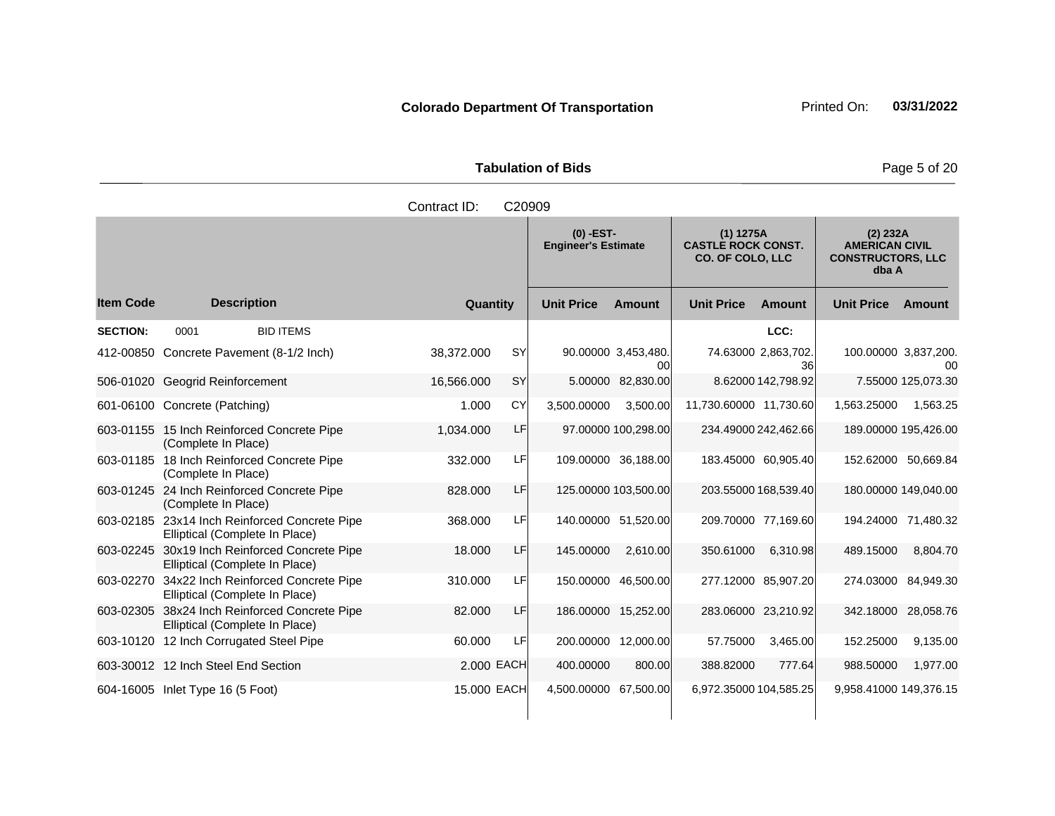| <b>Tabulation of Bids</b> | Page 5 of 20 |
|---------------------------|--------------|

|                  |                                                                                 | Contract ID:            | C20909                                    |                           |                                                                     |                           |                                                                        |                      |
|------------------|---------------------------------------------------------------------------------|-------------------------|-------------------------------------------|---------------------------|---------------------------------------------------------------------|---------------------------|------------------------------------------------------------------------|----------------------|
|                  |                                                                                 |                         | $(0)$ -EST-<br><b>Engineer's Estimate</b> |                           | $(1)$ 1275A<br><b>CASTLE ROCK CONST.</b><br><b>CO. OF COLO, LLC</b> |                           | (2) 232A<br><b>AMERICAN CIVIL</b><br><b>CONSTRUCTORS, LLC</b><br>dba A |                      |
| <b>Item Code</b> | <b>Description</b>                                                              | Quantity                | <b>Unit Price</b>                         | <b>Amount</b>             | <b>Unit Price</b>                                                   | <b>Amount</b>             | <b>Unit Price</b>                                                      | <b>Amount</b>        |
| <b>SECTION:</b>  | <b>BID ITEMS</b><br>0001                                                        |                         |                                           |                           |                                                                     | LCC:                      |                                                                        |                      |
|                  | 412-00850 Concrete Pavement (8-1/2 Inch)                                        | <b>SY</b><br>38,372.000 |                                           | 90.00000 3,453,480.<br>00 |                                                                     | 74.63000 2,863,702.<br>36 | 100.00000 3,837,200.                                                   | 00                   |
|                  | 506-01020 Geogrid Reinforcement                                                 | 16,566.000<br><b>SY</b> | 5.00000                                   | 82,830.00                 |                                                                     | 8.62000 142,798.92        |                                                                        | 7.55000 125,073.30   |
|                  | 601-06100 Concrete (Patching)                                                   | CY<br>1.000             | 3,500.00000                               | 3,500.00                  | 11,730.60000 11,730.60                                              |                           | 1,563.25000                                                            | 1.563.25             |
|                  | 603-01155 15 Inch Reinforced Concrete Pipe<br>(Complete In Place)               | LF<br>1,034.000         |                                           | 97.00000 100,298.00       |                                                                     | 234.49000 242,462.66      |                                                                        | 189.00000 195,426.00 |
|                  | 603-01185 18 Inch Reinforced Concrete Pipe<br>(Complete In Place)               | 332.000                 | LF                                        | 109.00000 36,188.00       |                                                                     | 183.45000 60,905.40       |                                                                        | 152.62000 50,669.84  |
|                  | 603-01245 24 Inch Reinforced Concrete Pipe<br>(Complete In Place)               | 828,000                 | LF                                        | 125.00000 103,500.00      |                                                                     | 203.55000 168,539.40      |                                                                        | 180.00000 149,040.00 |
|                  | 603-02185 23x14 Inch Reinforced Concrete Pipe<br>Elliptical (Complete In Place) | 368.000                 | LFI                                       | 140.00000 51,520.00       |                                                                     | 209.70000 77,169.60       |                                                                        | 194.24000 71,480.32  |
| 603-02245        | 30x19 Inch Reinforced Concrete Pipe<br>Elliptical (Complete In Place)           | 18.000                  | LF<br>145.00000                           | 2,610.00                  | 350.61000                                                           | 6,310.98                  | 489.15000                                                              | 8,804.70             |
| 603-02270        | 34x22 Inch Reinforced Concrete Pipe<br>Elliptical (Complete In Place)           | 310.000                 | LF                                        | 150.00000 46,500.00       |                                                                     | 277.12000 85,907.20       | 274.03000                                                              | 84,949.30            |
|                  | 603-02305 38x24 Inch Reinforced Concrete Pipe<br>Elliptical (Complete In Place) | 82.000                  | LF                                        | 186.00000 15,252.00       |                                                                     | 283.06000 23,210.92       |                                                                        | 342.18000 28,058.76  |
|                  | 603-10120 12 Inch Corrugated Steel Pipe                                         | 60.000                  | LF                                        | 200.00000 12,000.00       | 57.75000                                                            | 3,465.00                  | 152.25000                                                              | 9,135.00             |
|                  | 603-30012 12 Inch Steel End Section                                             | 2.000 EACH              | 400.00000                                 | 800.00                    | 388.82000                                                           | 777.64                    | 988.50000                                                              | 1,977.00             |
|                  | 604-16005 Inlet Type 16 (5 Foot)                                                | 15.000 EACH             | 4,500.00000 67,500.00                     |                           | 6,972.35000 104,585.25                                              |                           | 9,958.41000 149,376.15                                                 |                      |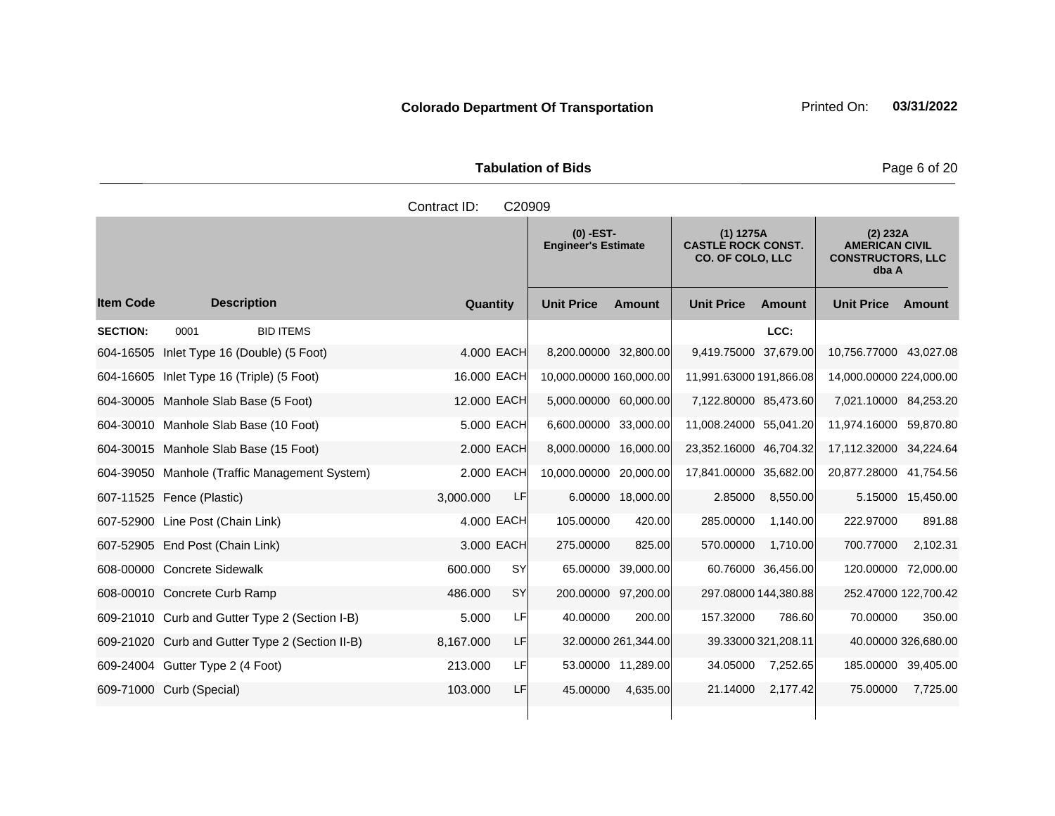|                      | <b>Tabulation of Bids</b> |
|----------------------|---------------------------|
| Contract $ID: CO000$ |                           |

|                  |                                                 |             | ◡▵◡◡◡     |                                           |                     |                                                                   |                     |                                                                          |                     |
|------------------|-------------------------------------------------|-------------|-----------|-------------------------------------------|---------------------|-------------------------------------------------------------------|---------------------|--------------------------------------------------------------------------|---------------------|
|                  |                                                 |             |           | $(0)$ -EST-<br><b>Engineer's Estimate</b> |                     | (1) 1275A<br><b>CASTLE ROCK CONST.</b><br><b>CO. OF COLO, LLC</b> |                     | $(2)$ 232A<br><b>AMERICAN CIVIL</b><br><b>CONSTRUCTORS, LLC</b><br>dba A |                     |
| <b>Item Code</b> | <b>Description</b>                              | Quantity    |           | <b>Unit Price</b>                         | <b>Amount</b>       | <b>Unit Price</b>                                                 | <b>Amount</b>       | <b>Unit Price</b>                                                        | Amount              |
| <b>SECTION:</b>  | 0001<br><b>BID ITEMS</b>                        |             |           |                                           |                     |                                                                   | LCC:                |                                                                          |                     |
|                  | 604-16505 Inlet Type 16 (Double) (5 Foot)       | 4.000 EACH  |           | 8,200.00000 32,800.00                     |                     | 9,419.75000 37,679.00                                             |                     | 10,756.77000 43,027.08                                                   |                     |
| 604-16605        | Inlet Type 16 (Triple) (5 Foot)                 | 16.000 EACH |           | 10,000.00000 160,000.00                   |                     | 11,991.63000 191,866.08                                           |                     | 14,000.00000 224,000.00                                                  |                     |
|                  | 604-30005 Manhole Slab Base (5 Foot)            | 12.000 EACH |           | 5,000.00000 60,000.00                     |                     | 7,122.80000 85,473.60                                             |                     | 7,021.10000 84,253.20                                                    |                     |
|                  | 604-30010 Manhole Slab Base (10 Foot)           | 5.000 EACH  |           | 6,600.00000 33,000.00                     |                     | 11,008.24000 55,041.20                                            |                     | 11,974.16000 59,870.80                                                   |                     |
|                  | 604-30015 Manhole Slab Base (15 Foot)           | 2,000 EACH  |           | 8,000.00000 16,000.00                     |                     | 23,352.16000 46,704.32                                            |                     | 17,112.32000 34,224.64                                                   |                     |
|                  | 604-39050 Manhole (Traffic Management System)   | 2.000 EACH  |           | 10.000.00000 20,000.00                    |                     | 17,841.00000 35,682.00                                            |                     | 20,877.28000 41,754.56                                                   |                     |
|                  | 607-11525 Fence (Plastic)                       | 3,000.000   | LF        |                                           | 6.00000 18,000.00   | 2.85000                                                           | 8,550.00            |                                                                          | 5.15000 15,450.00   |
|                  | 607-52900 Line Post (Chain Link)                | 4.000 EACH  |           | 105.00000                                 | 420.00              | 285.00000                                                         | 1,140.00            | 222.97000                                                                | 891.88              |
|                  | 607-52905 End Post (Chain Link)                 | 3.000 EACH  |           | 275.00000                                 | 825.00              | 570.00000                                                         | 1,710.00            | 700.77000                                                                | 2,102.31            |
|                  | 608-00000 Concrete Sidewalk                     | 600.000     | <b>SY</b> |                                           | 65.00000 39,000.00  |                                                                   | 60.76000 36,456.00  | 120.00000 72,000.00                                                      |                     |
|                  | 608-00010 Concrete Curb Ramp                    | 486,000     | <b>SY</b> | 200.00000 97.200.00                       |                     | 297.08000 144,380.88                                              |                     | 252.47000 122,700.42                                                     |                     |
|                  | 609-21010 Curb and Gutter Type 2 (Section I-B)  | 5.000       | LF        | 40.00000                                  | 200.00              | 157.32000                                                         | 786.60              | 70.00000                                                                 | 350.00              |
|                  | 609-21020 Curb and Gutter Type 2 (Section II-B) | 8,167.000   | LF        |                                           | 32.00000 261,344.00 |                                                                   | 39.33000 321,208.11 |                                                                          | 40.00000 326,680.00 |
|                  | 609-24004 Gutter Type 2 (4 Foot)                | 213.000     | LF        |                                           | 53.00000 11,289.00  | 34.05000                                                          | 7,252.65            | 185.00000 39,405.00                                                      |                     |
|                  | 609-71000 Curb (Special)                        | 103.000     | LF        | 45.00000                                  | 4,635.00            | 21.14000                                                          | 2,177.42            | 75.00000                                                                 | 7,725.00            |
|                  |                                                 |             |           |                                           |                     |                                                                   |                     |                                                                          |                     |

Page 6 of 20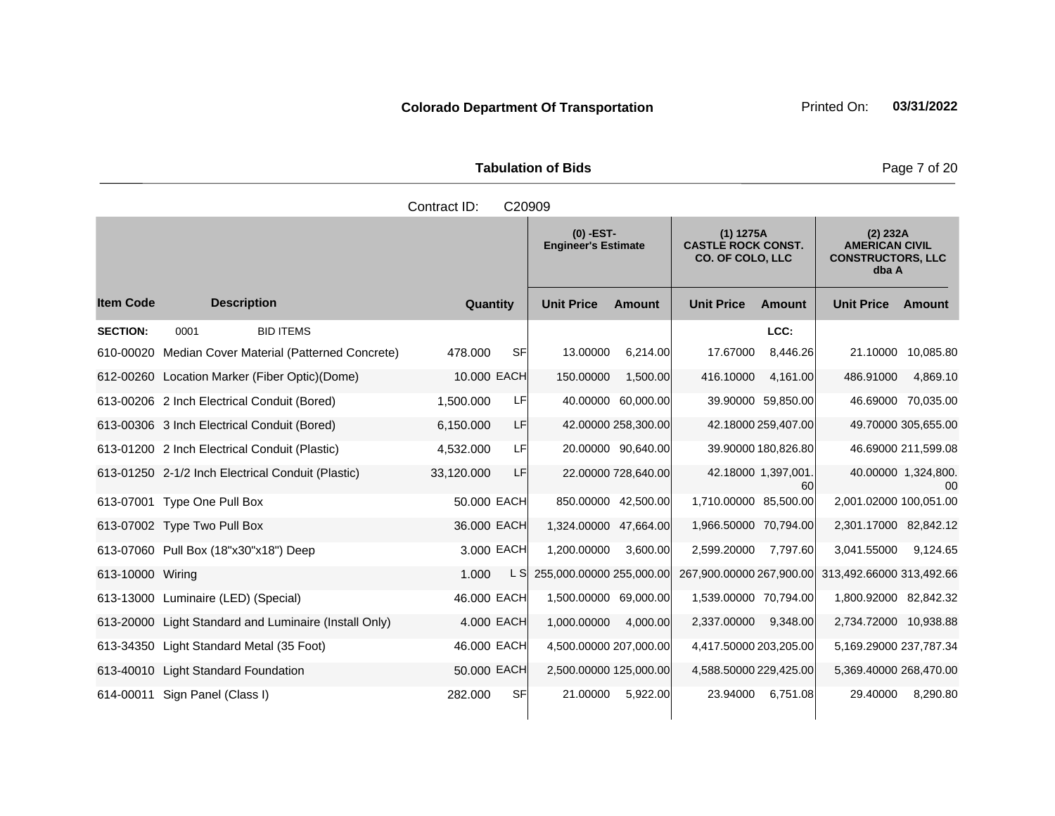Tabulation of Bids **Page 7 of 20** 

|                  |                                                      | Contract ID: | C20909 |                                           |                     |                                                                   |                          |                                                                        |                           |
|------------------|------------------------------------------------------|--------------|--------|-------------------------------------------|---------------------|-------------------------------------------------------------------|--------------------------|------------------------------------------------------------------------|---------------------------|
|                  |                                                      |              |        | $(0)$ -EST-<br><b>Engineer's Estimate</b> |                     | (1) 1275A<br><b>CASTLE ROCK CONST.</b><br><b>CO. OF COLO, LLC</b> |                          | (2) 232A<br><b>AMERICAN CIVIL</b><br><b>CONSTRUCTORS, LLC</b><br>dba A |                           |
| <b>Item Code</b> | <b>Description</b>                                   | Quantity     |        | <b>Unit Price</b>                         | <b>Amount</b>       | <b>Unit Price</b>                                                 | <b>Amount</b>            | <b>Unit Price</b>                                                      | Amount                    |
| <b>SECTION:</b>  | <b>BID ITEMS</b><br>0001                             |              |        |                                           |                     |                                                                   | LCC:                     |                                                                        |                           |
|                  | 610-00020 Median Cover Material (Patterned Concrete) | 478,000      | SF     | 13.00000                                  | 6,214.00            | 17.67000                                                          | 8,446.26                 |                                                                        | 21.10000 10.085.80        |
|                  | 612-00260 Location Marker (Fiber Optic)(Dome)        | 10.000 EACH  |        | 150.00000                                 | 1,500.00            | 416.10000                                                         | 4,161.00                 | 486.91000                                                              | 4,869.10                  |
|                  | 613-00206 2 Inch Electrical Conduit (Bored)          | 1,500.000    | LFI    |                                           | 40.00000 60,000.00  |                                                                   | 39.90000 59,850.00       |                                                                        | 46.69000 70.035.00        |
|                  | 613-00306 3 Inch Electrical Conduit (Bored)          | 6,150.000    | LF     |                                           | 42.00000 258,300.00 |                                                                   | 42.18000 259,407.00      |                                                                        | 49.70000 305,655.00       |
|                  | 613-01200 2 Inch Electrical Conduit (Plastic)        | 4,532.000    | LFI    |                                           | 20.00000 90,640.00  |                                                                   | 39.90000 180,826.80      |                                                                        | 46.69000 211,599.08       |
|                  | 613-01250 2-1/2 Inch Electrical Conduit (Plastic)    | 33,120.000   | LF.    |                                           | 22.00000 728,640.00 |                                                                   | 42.18000 1,397,001<br>60 |                                                                        | 40.00000 1,324,800.<br>00 |
|                  | 613-07001 Type One Pull Box                          | 50.000 EACH  |        |                                           | 850.00000 42,500.00 | 1,710.00000 85,500.00                                             |                          | 2.001.02000 100.051.00                                                 |                           |
|                  | 613-07002 Type Two Pull Box                          | 36,000 EACH  |        | 1,324.00000 47,664.00                     |                     | 1.966.50000 70.794.00                                             |                          | 2,301.17000 82,842.12                                                  |                           |
|                  | 613-07060 Pull Box (18"x30"x18") Deep                | 3,000 EACH   |        | 1,200.00000                               | 3,600.00            | 2,599.20000                                                       | 7,797.60                 | 3,041.55000                                                            | 9,124.65                  |
| 613-10000 Wiring |                                                      | 1.000        | L SI   | 255,000.00000 255,000.00                  |                     | 267,900.00000 267,900.00                                          |                          | 313,492.66000 313,492.66                                               |                           |
|                  | 613-13000 Luminaire (LED) (Special)                  | 46.000 EACH  |        | 1,500.00000 69,000.00                     |                     | 1,539.00000 70,794.00                                             |                          | 1,800.92000 82,842.32                                                  |                           |
| 613-20000        | Light Standard and Luminaire (Install Only)          | 4.000 EACH   |        | 1,000.00000                               | 4,000.00            | 2,337.00000                                                       | 9,348.00                 | 2,734.72000 10,938.88                                                  |                           |
|                  | 613-34350 Light Standard Metal (35 Foot)             | 46.000 EACH  |        | 4,500.00000 207,000.00                    |                     | 4,417.50000 203,205.00                                            |                          | 5,169.29000 237,787.34                                                 |                           |
| 613-40010        | <b>Light Standard Foundation</b>                     | 50.000 EACH  |        | 2,500.00000 125,000.00                    |                     | 4,588.50000 229,425.00                                            |                          | 5,369.40000 268,470.00                                                 |                           |
| 614-00011        | Sign Panel (Class I)                                 | 282.000      | SFI    | 21.00000                                  | 5,922.00            | 23.94000                                                          | 6,751.08                 | 29.40000                                                               | 8,290.80                  |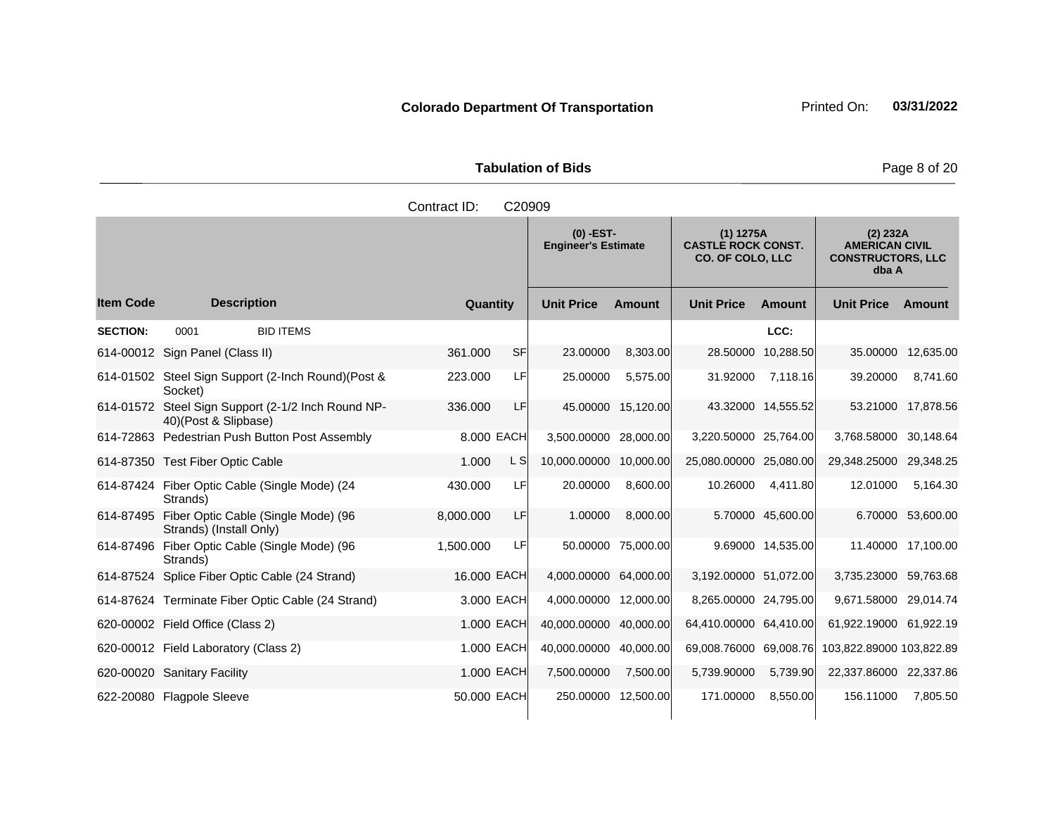**Tabulation of Bids Page 8 of 20** 

|                  |                                                                          | Contract ID: | C20909 |                                           |                    |                                                                   |                    |                                                                        |                    |
|------------------|--------------------------------------------------------------------------|--------------|--------|-------------------------------------------|--------------------|-------------------------------------------------------------------|--------------------|------------------------------------------------------------------------|--------------------|
|                  |                                                                          |              |        | $(0)$ -EST-<br><b>Engineer's Estimate</b> |                    | (1) 1275A<br><b>CASTLE ROCK CONST.</b><br><b>CO. OF COLO, LLC</b> |                    | (2) 232A<br><b>AMERICAN CIVIL</b><br><b>CONSTRUCTORS, LLC</b><br>dba A |                    |
| <b>Item Code</b> | <b>Description</b>                                                       | Quantity     |        | <b>Unit Price</b>                         | <b>Amount</b>      | <b>Unit Price</b>                                                 | <b>Amount</b>      | <b>Unit Price</b>                                                      | Amount             |
| <b>SECTION:</b>  | <b>BID ITEMS</b><br>0001                                                 |              |        |                                           |                    |                                                                   | LCC:               |                                                                        |                    |
|                  | 614-00012 Sign Panel (Class II)                                          | 361.000      | SFI    | 23.00000                                  | 8,303.00           |                                                                   | 28.50000 10,288.50 |                                                                        | 35.00000 12,635.00 |
|                  | 614-01502 Steel Sign Support (2-Inch Round) (Post &<br>Socket)           | 223.000      | LF     | 25.00000                                  | 5,575.00           | 31.92000                                                          | 7,118.16           | 39.20000                                                               | 8,741.60           |
| 614-01572        | Steel Sign Support (2-1/2 Inch Round NP-<br>40)(Post & Slipbase)         | 336.000      | LF     |                                           | 45.00000 15,120.00 |                                                                   | 43.32000 14,555.52 |                                                                        | 53.21000 17,878.56 |
|                  | 614-72863 Pedestrian Push Button Post Assembly                           | 8.000 EACH   |        | 3,500.00000                               | 28,000.00          | 3,220.50000 25,764.00                                             |                    | 3,768.58000 30,148.64                                                  |                    |
|                  | 614-87350 Test Fiber Optic Cable                                         | 1.000        | L S    | 10,000.00000 10,000.00                    |                    | 25,080.00000 25,080.00                                            |                    | 29,348.25000 29,348.25                                                 |                    |
|                  | 614-87424 Fiber Optic Cable (Single Mode) (24<br>Strands)                | 430.000      | LF     | 20.00000                                  | 8,600.00           | 10.26000                                                          | 4,411.80           | 12.01000                                                               | 5,164.30           |
|                  | 614-87495 Fiber Optic Cable (Single Mode) (96<br>Strands) (Install Only) | 8,000.000    | LF     | 1.00000                                   | 8,000.00           |                                                                   | 5.70000 45,600.00  |                                                                        | 6.70000 53,600.00  |
|                  | 614-87496 Fiber Optic Cable (Single Mode) (96<br>Strands)                | 1,500.000    | LF     |                                           | 50.00000 75,000.00 |                                                                   | 9.69000 14,535.00  |                                                                        | 11.40000 17,100.00 |
|                  | 614-87524 Splice Fiber Optic Cable (24 Strand)                           | 16.000 EACH  |        | 4,000.00000 64,000.00                     |                    | 3,192.00000 51,072.00                                             |                    | 3,735.23000 59,763.68                                                  |                    |
|                  | 614-87624 Terminate Fiber Optic Cable (24 Strand)                        | 3,000 EACH   |        | 4,000.00000 12,000.00                     |                    | 8,265.00000 24,795.00                                             |                    | 9,671.58000 29,014.74                                                  |                    |
|                  | 620-00002 Field Office (Class 2)                                         | 1.000 EACH   |        | 40,000.00000 40,000.00                    |                    | 64,410.00000 64,410.00                                            |                    | 61,922.19000 61,922.19                                                 |                    |
|                  | 620-00012 Field Laboratory (Class 2)                                     | 1.000 EACH   |        | 40,000.00000                              | 40,000.00          | 69,008.76000 69,008.76                                            |                    | 103,822.89000 103,822.89                                               |                    |
|                  | 620-00020 Sanitary Facility                                              | 1.000 EACH   |        | 7,500.00000                               | 7,500.00           | 5,739.90000                                                       | 5,739.90           | 22,337.86000 22,337.86                                                 |                    |
|                  | 622-20080 Flagpole Sleeve                                                | 50.000 EACH  |        | 250.00000 12,500.00                       |                    | 171.00000                                                         | 8,550.00           | 156.11000                                                              | 7,805.50           |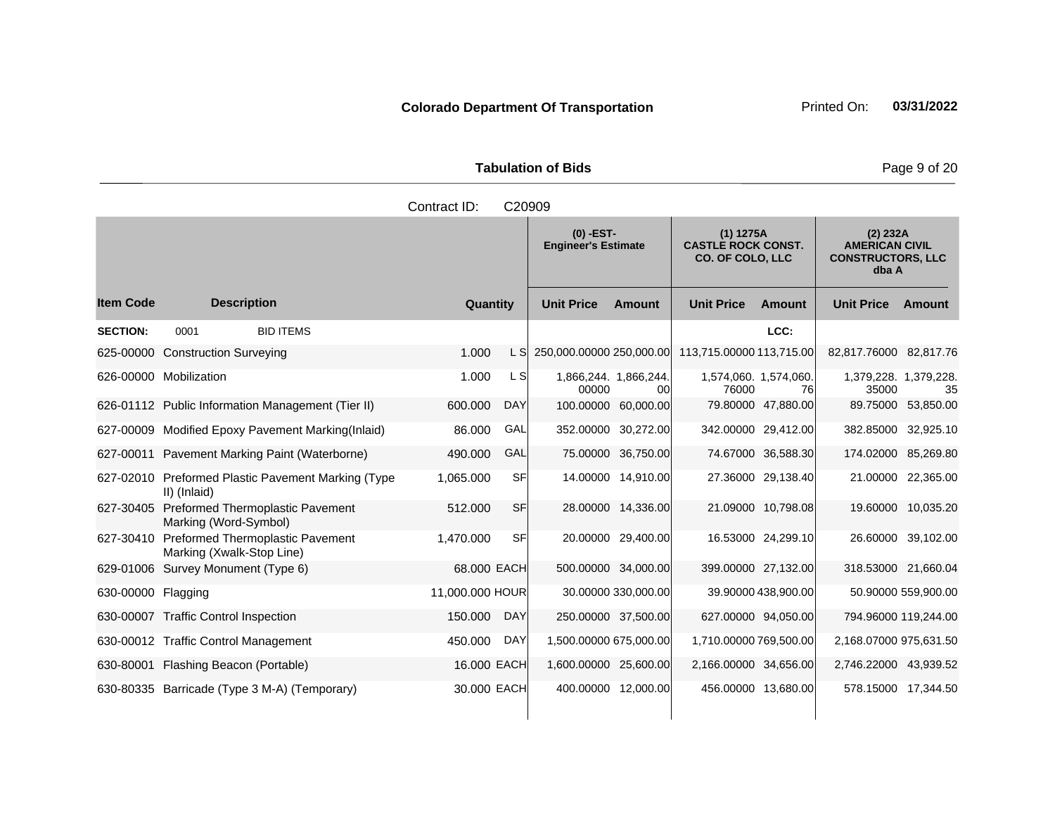**Tabulation of Bids Page 9 of 20** 

|                        | Contract ID:<br>C <sub>20909</sub> |                                  |  |          |                                           |                   |                                                                   |                                                       |                                                                          |                      |        |
|------------------------|------------------------------------|----------------------------------|--|----------|-------------------------------------------|-------------------|-------------------------------------------------------------------|-------------------------------------------------------|--------------------------------------------------------------------------|----------------------|--------|
|                        |                                    |                                  |  |          | $(0)$ -EST-<br><b>Engineer's Estimate</b> |                   | (1) 1275A<br><b>CASTLE ROCK CONST.</b><br><b>CO. OF COLO, LLC</b> |                                                       | $(2)$ 232A<br><b>AMERICAN CIVIL</b><br><b>CONSTRUCTORS, LLC</b><br>dba A |                      |        |
| ltem Code              |                                    | <b>Description</b>               |  | Quantity |                                           | <b>Unit Price</b> | <b>Amount</b>                                                     | <b>Unit Price</b>                                     | Amount                                                                   | <b>Unit Price</b>    | Amount |
| <b>SECTION:</b>        | 0001                               | <b>BID ITEMS</b>                 |  |          |                                           |                   |                                                                   |                                                       | LCC:                                                                     |                      |        |
|                        |                                    | 625-00000 Construction Surveying |  | 1.000    |                                           |                   |                                                                   | L S 250,000.00000 250,000.00 113,715.00000 113,715.00 |                                                                          | 82,817.76000 82,817. |        |
| 626-00000 Mobilization |                                    |                                  |  | 1.000    | -SI                                       |                   | 1866 244 1866 244                                                 |                                                       | 1574 060 1574 060                                                        | 1 379 228 1 379 22   |        |

625-00000 Construction Surveying 1.000 L S 250,000.00000 250,000.00 113,715.00000 113,715.00 82,817.76000 82,817.76 626-00000 Mobilization 00000 1,866,244. 00 1,574,060. 76000 1,574,060. 76 1,379,228. 1,379,228. 35000 626-01112 Public Information Management (Tier II) 600.000 DAY 100.00000 60,000.00 79.80000 47,880.00 89.75000 53,850.00 627-00009 Modified Epoxy Pavement Marking(Inlaid) 86.000 GAL 352.00000 30,272.00 342.00000 29,412.00 382.85000 32,925.10 627-00011 Pavement Marking Paint (Waterborne) 490.000 GAL 75.00000 36,750.00 74.67000 36,588.30 174.02000 85,269.80 627-02010 Preformed Plastic Pavement Marking (Type II) (Inlaid) 1,065.000 SF 14.00000 14,910.00 27.36000 29,138.40 21.00000 22,365.00 627-30405 Preformed Thermoplastic Pavement Marking (Word-Symbol) 512.000 SF 28.00000 14,336.00 21.09000 10,798.08 19.60000 10,035.20 627-30410 Preformed Thermoplastic Pavement Marking (Xwalk-Stop Line) 1,470.000 SF 20.00000 29,400.00 16.53000 24,299.10 26.60000 39,102.00 629-01006 Survey Monument (Type 6) 68.000 EACH 500.00000 34,000.00 399.00000 27,132.00 318.53000 21,660.04 630-00000 Flagging 11,000.000 HOUR 30.00000 330,000.00 39.90000 438,900.00 559,900.00 630-00007 Traffic Control Inspection 150.000 DAY 250.00000 37,500.00 627.00000 94,050.00 794.96000 119,244.00 630-00012 Traffic Control Management 450.000 DAY 1,500.00000 675,000.00 1,710.00000 769,500.00 2,168.07000 975,631.50

630-80001 Flashing Beacon (Portable) 16.000 EACH 1,600.00000 25,600.00 2,166.00000 34,656.00 2,746.22000 43,939.52 630-80335 Barricade (Type 3 M-A) (Temporary) 30.000 EACH 400.00000 12,000.00 456.00000 13,680.00 578.15000 17,344.50

**Ext Amount**

35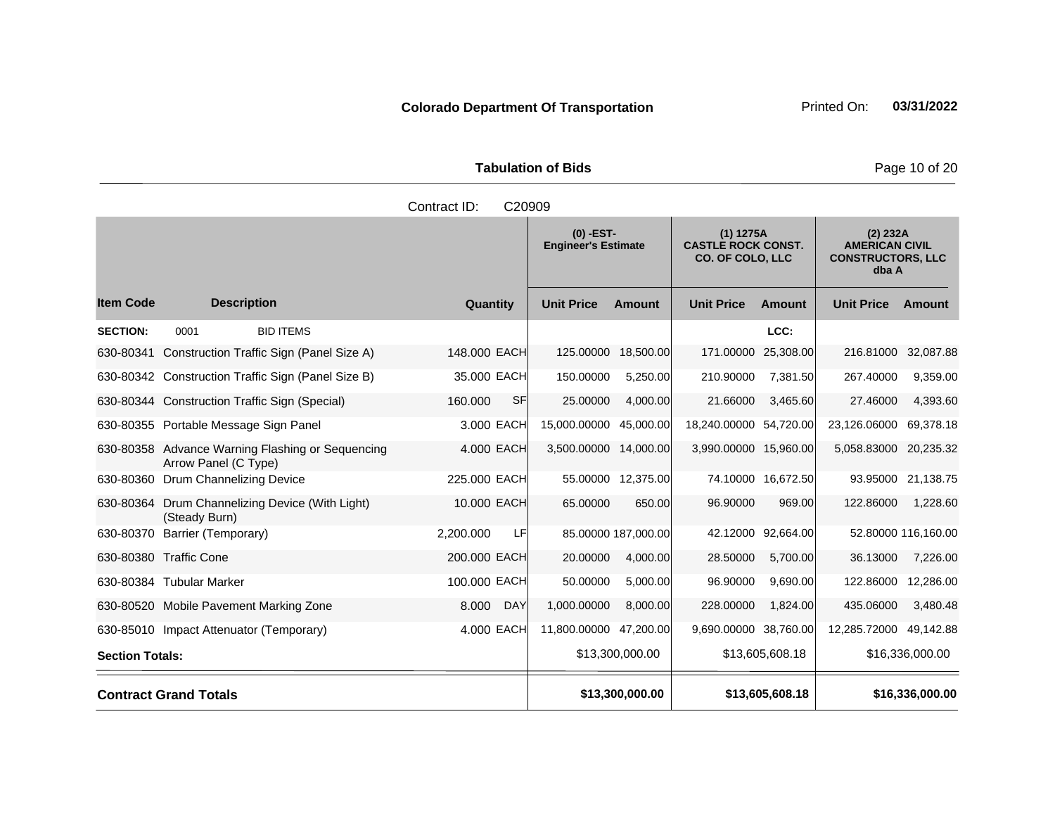Tabulation of Bids **Page 10 of 20** 

|                        |                                                                          | Contract ID:        | C20909            |                                           |                       |                                                                     |                    |                                                                        |                     |
|------------------------|--------------------------------------------------------------------------|---------------------|-------------------|-------------------------------------------|-----------------------|---------------------------------------------------------------------|--------------------|------------------------------------------------------------------------|---------------------|
|                        |                                                                          |                     |                   | $(0)$ -EST-<br><b>Engineer's Estimate</b> |                       | $(1)$ 1275A<br><b>CASTLE ROCK CONST.</b><br><b>CO. OF COLO, LLC</b> |                    | (2) 232A<br><b>AMERICAN CIVIL</b><br><b>CONSTRUCTORS, LLC</b><br>dba A |                     |
| <b>Item Code</b>       | <b>Description</b>                                                       | Quantity            | <b>Unit Price</b> |                                           | <b>Amount</b>         | <b>Unit Price</b>                                                   | <b>Amount</b>      | <b>Unit Price</b>                                                      | <b>Amount</b>       |
| <b>SECTION:</b>        | 0001<br><b>BID ITEMS</b>                                                 |                     |                   |                                           |                       |                                                                     | LCC:               |                                                                        |                     |
| 630-80341              | Construction Traffic Sign (Panel Size A)                                 | 148,000 EACH        |                   | 125.00000                                 | 18,500.00             | 171.00000                                                           | 25,308.00          | 216.81000                                                              | 32,087.88           |
|                        | 630-80342 Construction Traffic Sign (Panel Size B)                       | 35,000 EACH         |                   | 150.00000                                 | 5,250.00              | 210.90000                                                           | 7,381.50           | 267.40000                                                              | 9,359.00            |
|                        | 630-80344 Construction Traffic Sign (Special)                            | 160.000             | SF                | 25.00000                                  | 4,000.00              | 21.66000                                                            | 3,465.60           | 27.46000                                                               | 4,393.60            |
|                        | 630-80355 Portable Message Sign Panel                                    | 3.000 EACH          |                   | 15,000.00000                              | 45,000.00             | 18,240.00000 54,720.00                                              |                    | 23,126.06000                                                           | 69,378.18           |
|                        | 630-80358 Advance Warning Flashing or Sequencing<br>Arrow Panel (C Type) | 4.000 EACH          |                   |                                           | 3,500.00000 14,000.00 | 3,990.00000 15,960.00                                               |                    | 5,058.83000                                                            | 20,235.32           |
|                        | 630-80360 Drum Channelizing Device                                       | 225.000 EACH        |                   |                                           | 55.00000 12,375.00    |                                                                     | 74.10000 16,672.50 |                                                                        | 93.95000 21,138.75  |
| 630-80364              | Drum Channelizing Device (With Light)<br>(Steady Burn)                   | 10.000 EACH         |                   | 65.00000                                  | 650.00                | 96.90000                                                            | 969.00             | 122.86000                                                              | 1,228.60            |
| 630-80370              | Barrier (Temporary)                                                      | 2.200.000           | LF                |                                           | 85.00000 187,000.00   |                                                                     | 42.12000 92,664.00 |                                                                        | 52.80000 116,160.00 |
|                        | 630-80380 Traffic Cone                                                   | 200.000 EACH        |                   | 20.00000                                  | 4,000.00              | 28.50000                                                            | 5,700.00           | 36.13000                                                               | 7,226.00            |
|                        | 630-80384 Tubular Marker                                                 | 100.000 EACH        |                   | 50.00000                                  | 5,000.00              | 96.90000                                                            | 9,690.00           | 122.86000                                                              | 12,286.00           |
|                        | 630-80520 Mobile Pavement Marking Zone                                   | 8.000<br><b>DAY</b> |                   | 1,000.00000                               | 8,000.00              | 228.00000                                                           | 1,824.00           | 435.06000                                                              | 3,480.48            |
|                        | 630-85010 Impact Attenuator (Temporary)                                  | 4.000 EACH          |                   | 11,800.00000                              | 47,200.00             | 9,690.00000 38,760.00                                               |                    | 12,285.72000                                                           | 49,142.88           |
| <b>Section Totals:</b> |                                                                          |                     |                   |                                           | \$13,300,000.00       |                                                                     | \$13,605,608.18    |                                                                        | \$16,336,000.00     |
|                        | <b>Contract Grand Totals</b>                                             |                     |                   |                                           | \$13,300,000.00       |                                                                     | \$13,605,608.18    |                                                                        | \$16,336,000.00     |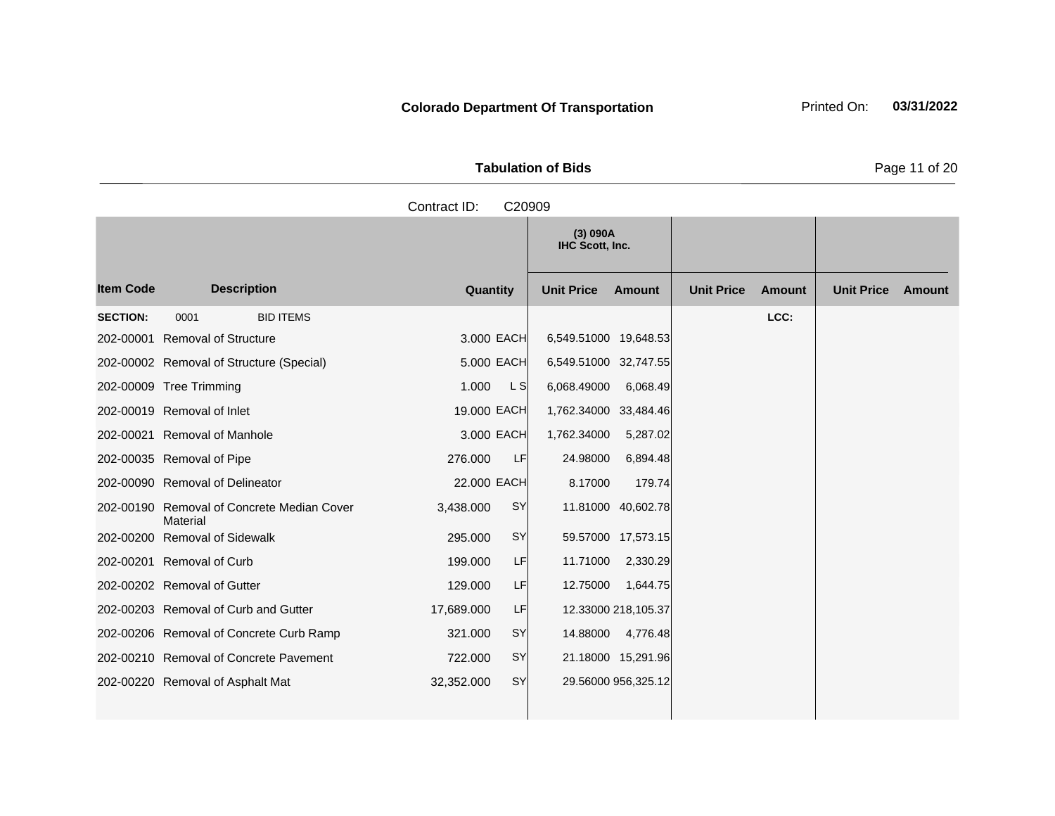**Tabulation of Bids** Page 11 of 20

**Quantity Unit Price Unit Price Item Code Amount Unit Price Amount Ext Ext Unit Price Amount Ext (3) 090A IHC Scott, Inc. Description SECTION:** 0001 BID ITEMS **LCC:** 202-00001 Removal of Structure 3.000 EACH 6,549.51000 19,648.53 202-00002 Removal of Structure (Special) 5.000 EACH 6,549.51000 32,747.55 202-00009 Tree Trimming 202-00009 Tree Trimming 202-0000 L S 6,068.49000 6,068.49 202-00019 Removal of Inlet 19.000 EACH 1,762.34000 33,484.46 202-00021 Removal of Manhole 3.000 EACH 1,762.34000 5,287.02 202-00035 Removal of Pipe 276.000 LF 24.98000 6,894.48 202-00090 Removal of Delineator 22.000 EACH 8.17000 179.74 202-00190 Removal of Concrete Median Cover Material 3,438.000 SY 11.81000 40,602.78 202-00200 Removal of Sidewalk 295.000 SY 59.57000 17,573.15 202-00201 Removal of Curb 199.000 LF 11.71000 2,330.29 202-00202 Removal of Gutter 129.000 LF 129.000 1,644.75 202-00203 Removal of Curb and Gutter 17,689.000 LF 12.33000 218,105.37 202-00206 Removal of Concrete Curb Ramp 321.000 SY 14.88000 4,776.48 202-00210 Removal of Concrete Pavement 722.000 SY 21.18000 15,291.96 202-00220 Removal of Asphalt Mat 32,352.000 SY 29.56000 956,325.12 Contract ID: C20909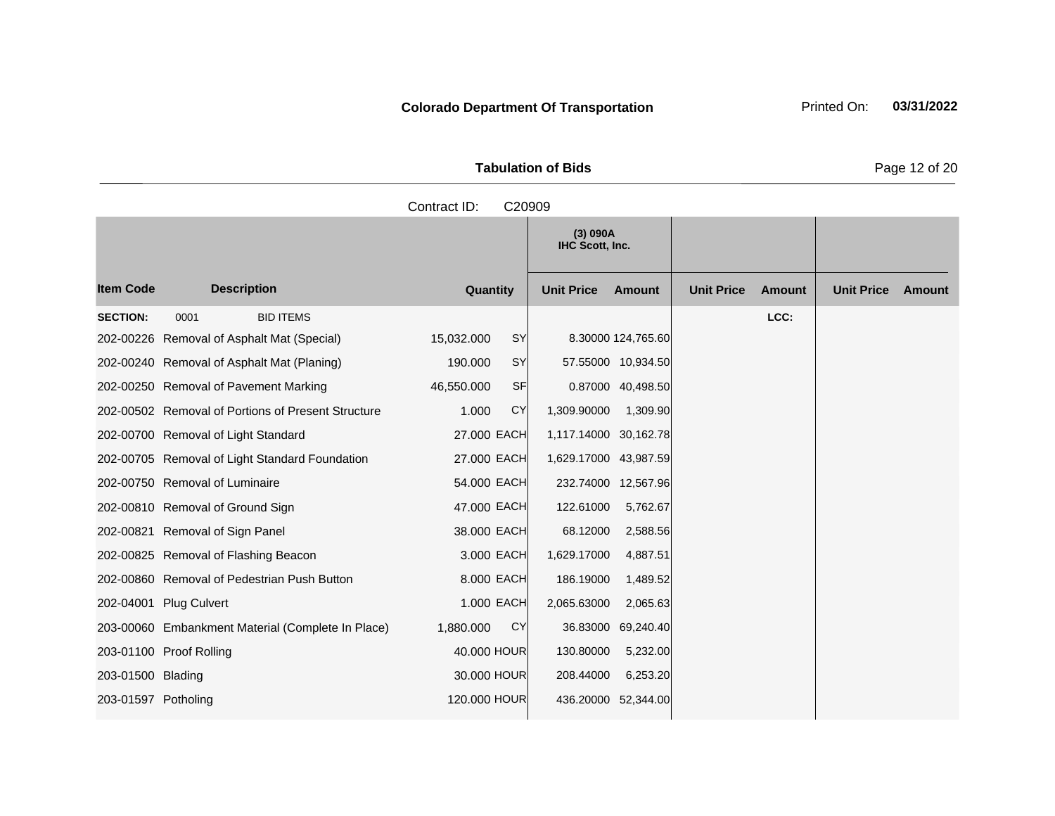Tabulation of Bids **Page 12 of 20** 

|                     |                                                    | Contract ID: | C20909                      |                     |                   |               |                   |        |
|---------------------|----------------------------------------------------|--------------|-----------------------------|---------------------|-------------------|---------------|-------------------|--------|
|                     |                                                    |              | (3) 090A<br>IHC Scott, Inc. |                     |                   |               |                   |        |
| <b>Item Code</b>    | <b>Description</b>                                 | Quantity     | <b>Unit Price</b>           | Amount              | <b>Unit Price</b> | <b>Amount</b> | <b>Unit Price</b> | Amount |
| <b>SECTION:</b>     | <b>BID ITEMS</b><br>0001                           |              |                             |                     |                   | LCC:          |                   |        |
|                     | 202-00226 Removal of Asphalt Mat (Special)         | 15,032.000   | SY                          | 8.30000 124,765.60  |                   |               |                   |        |
|                     | 202-00240 Removal of Asphalt Mat (Planing)         | 190.000      | <b>SY</b>                   | 57.55000 10,934.50  |                   |               |                   |        |
|                     | 202-00250 Removal of Pavement Marking              | 46,550.000   | <b>SF</b>                   | 0.87000 40,498.50   |                   |               |                   |        |
|                     | 202-00502 Removal of Portions of Present Structure | 1.000        | <b>CY</b><br>1,309.90000    | 1,309.90            |                   |               |                   |        |
|                     | 202-00700 Removal of Light Standard                | 27.000 EACH  | 1,117.14000 30,162.78       |                     |                   |               |                   |        |
|                     | 202-00705 Removal of Light Standard Foundation     | 27.000 EACH  | 1,629.17000 43,987.59       |                     |                   |               |                   |        |
|                     | 202-00750 Removal of Luminaire                     | 54.000 EACH  |                             | 232.74000 12,567.96 |                   |               |                   |        |
|                     | 202-00810 Removal of Ground Sign                   | 47.000 EACH  | 122.61000                   | 5,762.67            |                   |               |                   |        |
|                     | 202-00821 Removal of Sign Panel                    | 38.000 EACH  | 68.12000                    | 2,588.56            |                   |               |                   |        |
|                     | 202-00825 Removal of Flashing Beacon               | 3.000 EACH   | 1,629.17000                 | 4,887.51            |                   |               |                   |        |
|                     | 202-00860 Removal of Pedestrian Push Button        | 8.000 EACH   | 186.19000                   | 1,489.52            |                   |               |                   |        |
|                     | 202-04001 Plug Culvert                             | 1.000 EACH   | 2,065.63000                 | 2,065.63            |                   |               |                   |        |
|                     | 203-00060 Embankment Material (Complete In Place)  | 1,880.000    | <b>CY</b><br>36.83000       | 69,240.40           |                   |               |                   |        |
|                     | 203-01100 Proof Rolling                            | 40.000 HOUR  | 130.80000                   | 5,232.00            |                   |               |                   |        |
| 203-01500 Blading   |                                                    | 30.000 HOUR  | 208.44000                   | 6,253.20            |                   |               |                   |        |
| 203-01597 Potholing |                                                    | 120.000 HOUR | 436.20000                   | 52,344.00           |                   |               |                   |        |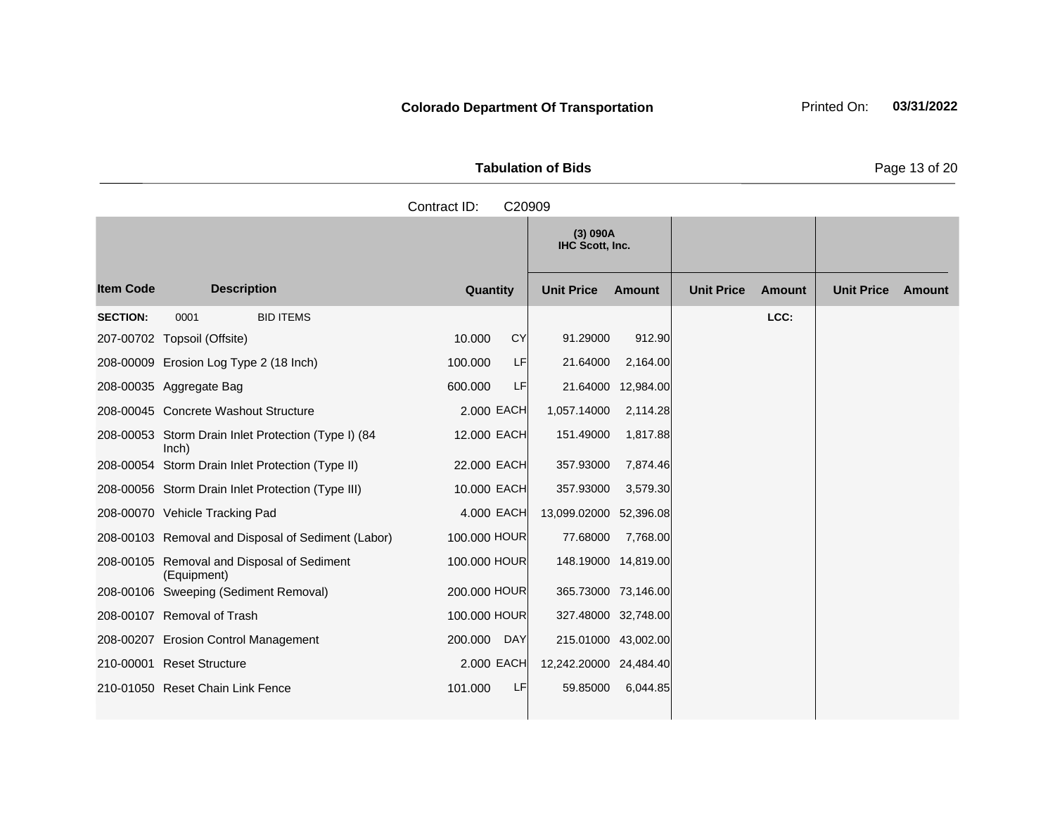**Tabulation of Bids Page 13 of 20** 

|                  |                                                              | Contract ID:          | C20909                      |                     |                   |               |                   |        |
|------------------|--------------------------------------------------------------|-----------------------|-----------------------------|---------------------|-------------------|---------------|-------------------|--------|
|                  |                                                              |                       | (3) 090A<br>IHC Scott, Inc. |                     |                   |               |                   |        |
| <b>Item Code</b> | <b>Description</b>                                           | Quantity              | <b>Unit Price</b>           | <b>Amount</b>       | <b>Unit Price</b> | <b>Amount</b> | <b>Unit Price</b> | Amount |
| <b>SECTION:</b>  | <b>BID ITEMS</b><br>0001                                     |                       |                             |                     |                   | LCC:          |                   |        |
|                  | 207-00702 Topsoil (Offsite)                                  | CY<br>10.000          | 91.29000                    | 912.90              |                   |               |                   |        |
|                  | 208-00009 Erosion Log Type 2 (18 Inch)                       | 100.000<br>LF         | 21.64000                    | 2,164.00            |                   |               |                   |        |
|                  | 208-00035 Aggregate Bag                                      | LF<br>600.000         |                             | 21.64000 12,984.00  |                   |               |                   |        |
|                  | 208-00045 Concrete Washout Structure                         | 2,000 EACH            | 1,057.14000                 | 2,114.28            |                   |               |                   |        |
|                  | 208-00053 Storm Drain Inlet Protection (Type I) (84<br>lnch) | 12.000 EACH           | 151.49000                   | 1,817.88            |                   |               |                   |        |
|                  | 208-00054 Storm Drain Inlet Protection (Type II)             | 22.000 EACH           | 357.93000                   | 7,874.46            |                   |               |                   |        |
|                  | 208-00056 Storm Drain Inlet Protection (Type III)            | 10.000 EACH           | 357.93000                   | 3,579.30            |                   |               |                   |        |
|                  | 208-00070 Vehicle Tracking Pad                               | 4,000 EACH            | 13,099.02000 52,396.08      |                     |                   |               |                   |        |
|                  | 208-00103 Removal and Disposal of Sediment (Labor)           | 100.000 HOUR          | 77.68000                    | 7,768.00            |                   |               |                   |        |
|                  | 208-00105 Removal and Disposal of Sediment<br>(Equipment)    | 100.000 HOUR          |                             | 148.19000 14,819.00 |                   |               |                   |        |
|                  | 208-00106 Sweeping (Sediment Removal)                        | 200.000 HOUR          |                             | 365.73000 73,146.00 |                   |               |                   |        |
|                  | 208-00107 Removal of Trash                                   | 100.000 HOUR          |                             | 327.48000 32,748.00 |                   |               |                   |        |
|                  | 208-00207 Erosion Control Management                         | 200.000<br><b>DAY</b> |                             | 215.01000 43,002.00 |                   |               |                   |        |
|                  | 210-00001 Reset Structure                                    | 2,000 EACH            | 12,242.20000 24,484.40      |                     |                   |               |                   |        |
|                  | 210-01050 Reset Chain Link Fence                             | 101.000<br>LF         | 59.85000                    | 6,044.85            |                   |               |                   |        |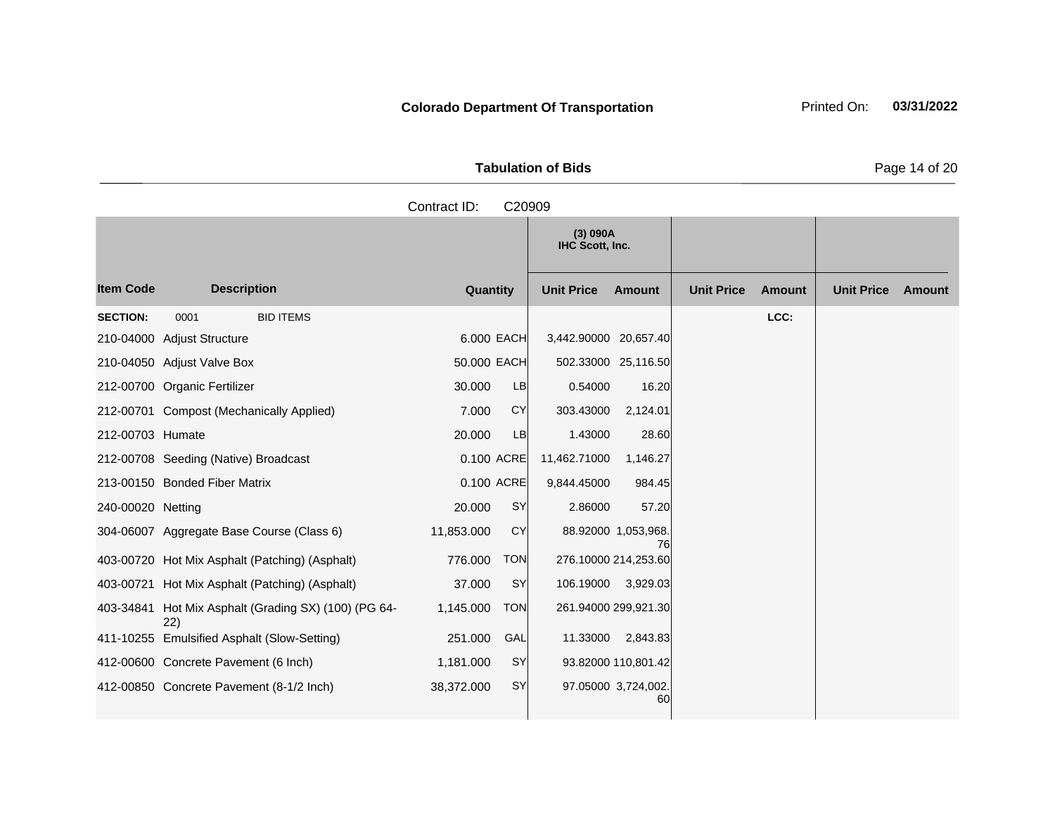**Tabulation of Bids** Page 14 of 20

| _ _ . |  |  |
|-------|--|--|
|       |  |  |
|       |  |  |
|       |  |  |
|       |  |  |
|       |  |  |

**Quantity Unit Price Unit Price Item Code Amount Unit Price Amount Ext Ext Unit Price Amount Ext (3) 090A IHC Scott, Inc. Description SECTION:** 0001 BID ITEMS **LCC:** 210-04000 Adjust Structure 6.000 EACH 3,442.90000 20,657.40 210-04050 Adjust Valve Box 50.000 EACH 502.33000 25,116.50 212-00700 Organic Fertilizer 30.000 LB 0.54000 16.20 212-00701 Compost (Mechanically Applied) 7.000 CY 303.43000 2,124.01 212-00703 Humate 20.000 LB 1.43000 28.60 212-00708 Seeding (Native) Broadcast 0.100 ACRE 11,462.71000 1,146.27 213-00150 Bonded Fiber Matrix 0.100 ACRE 9,844.45000 984.45 240-00020 Netting 20.000 SY 2.86000 57.20 304-06007 Aggregate Base Course (Class 6) 11,853.000 CY 88.92000 1,053,968. 76 403-00720 Hot Mix Asphalt (Patching) (Asphalt) 776.000 TON 276.10000 214,253.60 403-00721 Hot Mix Asphalt (Patching) (Asphalt) 37.000 SY 106.19000 3,929.03 403-34841 Hot Mix Asphalt (Grading SX) (100) (PG 64- 22) 1,145.000 TON 261.94000 299,921.30 411-10255 Emulsified Asphalt (Slow-Setting) 251.000 GAL 11.33000 2,843.83 412-00600 Concrete Pavement (6 Inch) 1,181.000 SY 93.82000 110,801.42 412-00850 Concrete Pavement (8-1/2 Inch) 38,372.000 SY 97.05000 3,724,002. 60 Contract ID: C20909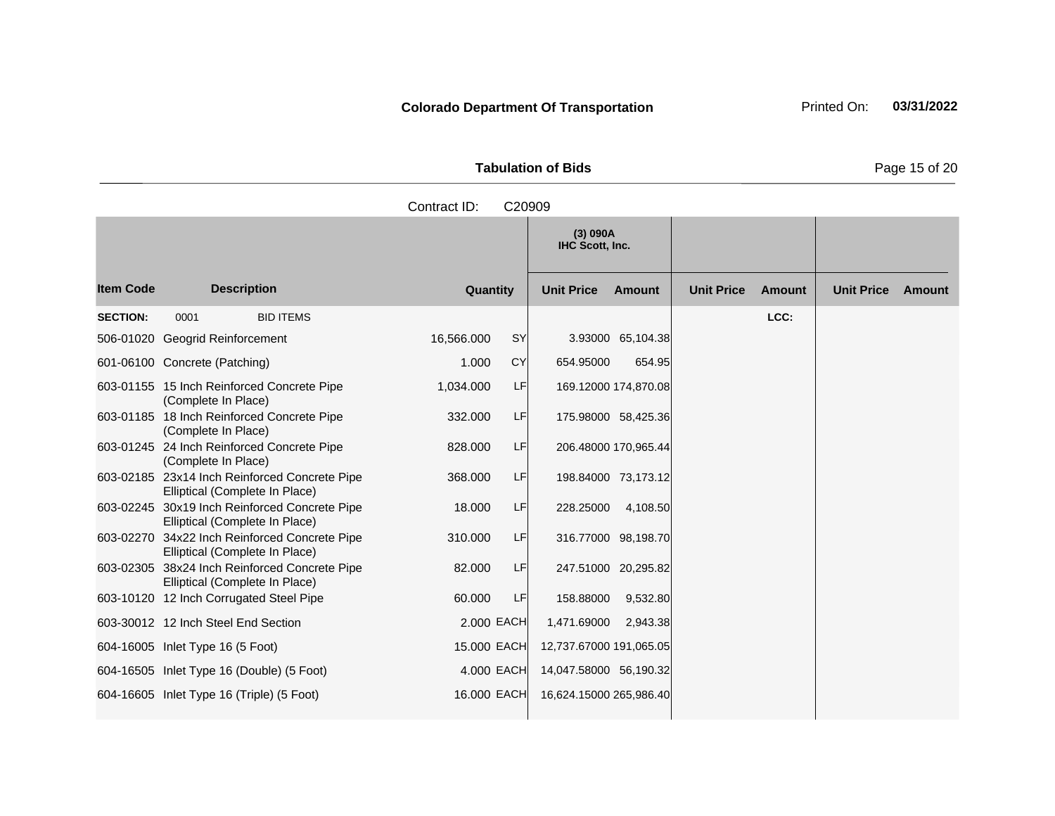**Tabulation of Bids Page 15 of 20** 

|                  |                                                                                 | Contract ID:<br>C20909 |                                    |                                    |                             |
|------------------|---------------------------------------------------------------------------------|------------------------|------------------------------------|------------------------------------|-----------------------------|
|                  |                                                                                 |                        | (3) 090A<br>IHC Scott, Inc.        |                                    |                             |
| <b>Item Code</b> | <b>Description</b>                                                              | Quantity               | <b>Unit Price</b><br><b>Amount</b> | <b>Unit Price</b><br><b>Amount</b> | <b>Unit Price</b><br>Amount |
| <b>SECTION:</b>  | 0001<br><b>BID ITEMS</b>                                                        |                        |                                    | LCC:                               |                             |
|                  | 506-01020 Geogrid Reinforcement                                                 | 16,566.000<br>SY       | 3.93000 65,104.38                  |                                    |                             |
|                  | 601-06100 Concrete (Patching)                                                   | <b>CY</b><br>1.000     | 654.95000<br>654.95                |                                    |                             |
|                  | 603-01155 15 Inch Reinforced Concrete Pipe<br>(Complete In Place)               | LF<br>1,034.000        | 169.12000 174,870.08               |                                    |                             |
|                  | 603-01185 18 Inch Reinforced Concrete Pipe<br>(Complete In Place)               | LF<br>332.000          | 175.98000 58,425.36                |                                    |                             |
|                  | 603-01245 24 Inch Reinforced Concrete Pipe<br>(Complete In Place)               | 828,000<br>LF          | 206.48000 170,965.44               |                                    |                             |
|                  | 603-02185 23x14 Inch Reinforced Concrete Pipe<br>Elliptical (Complete In Place) | 368.000<br>LF          | 198.84000 73,173.12                |                                    |                             |
|                  | 603-02245 30x19 Inch Reinforced Concrete Pipe<br>Elliptical (Complete In Place) | LF<br>18.000           | 228.25000<br>4,108.50              |                                    |                             |
|                  | 603-02270 34x22 Inch Reinforced Concrete Pipe<br>Elliptical (Complete In Place) | 310.000<br>LF          | 316.77000 98,198.70                |                                    |                             |
|                  | 603-02305 38x24 Inch Reinforced Concrete Pipe<br>Elliptical (Complete In Place) | LF<br>82.000           | 247.51000 20,295.82                |                                    |                             |
|                  | 603-10120 12 Inch Corrugated Steel Pipe                                         | 60.000<br>LF           | 158.88000<br>9,532.80              |                                    |                             |
|                  | 603-30012 12 Inch Steel End Section                                             | 2,000 EACH             | 1,471.69000<br>2,943.38            |                                    |                             |
|                  | 604-16005 Inlet Type 16 (5 Foot)                                                | 15.000 EACH            | 12,737.67000 191,065.05            |                                    |                             |
|                  | 604-16505 Inlet Type 16 (Double) (5 Foot)                                       | 4.000 EACH             | 14,047.58000 56,190.32             |                                    |                             |
|                  | 604-16605 Inlet Type 16 (Triple) (5 Foot)                                       | 16.000 EACH            | 16,624.15000 265,986.40            |                                    |                             |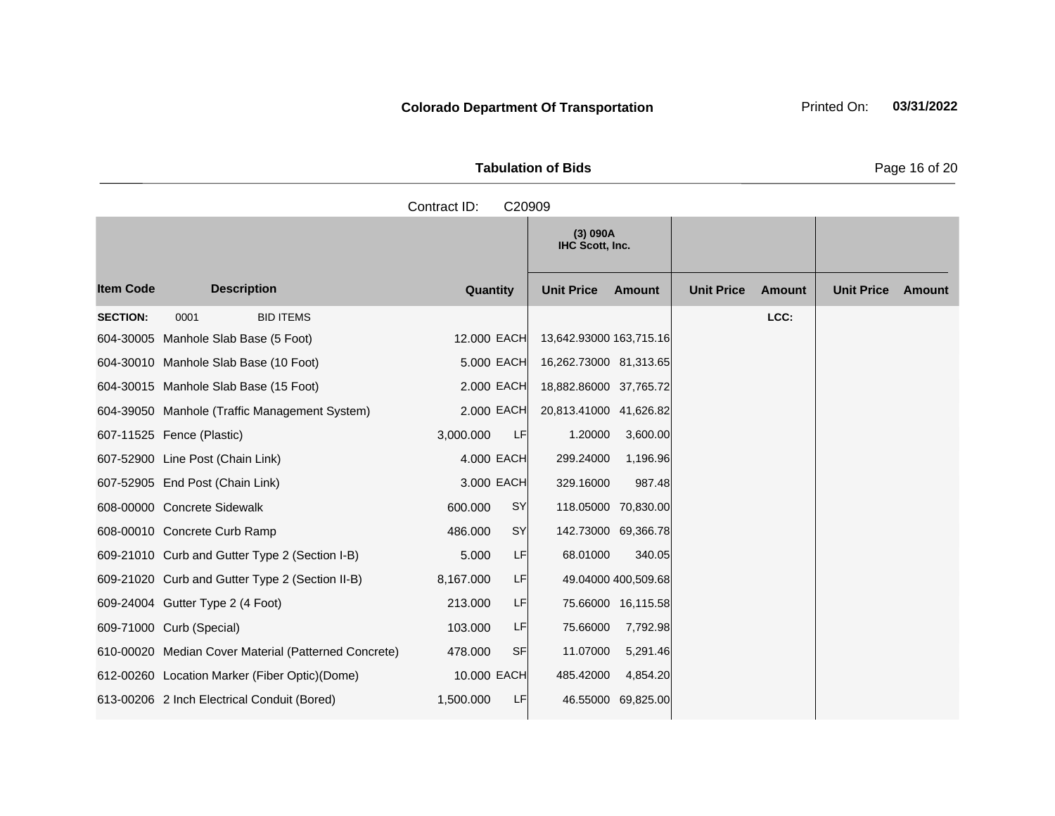| <b>Tabulation of Bids</b> | Page 16 of 20 |
|---------------------------|---------------|

|                  |                                                      | Contract ID: | C20909    |                             |                     |                   |        |                   |               |
|------------------|------------------------------------------------------|--------------|-----------|-----------------------------|---------------------|-------------------|--------|-------------------|---------------|
|                  |                                                      |              |           | (3) 090A<br>IHC Scott, Inc. |                     |                   |        |                   |               |
| <b>Item Code</b> | <b>Description</b>                                   | Quantity     |           | <b>Unit Price</b>           | <b>Amount</b>       | <b>Unit Price</b> | Amount | <b>Unit Price</b> | <b>Amount</b> |
| <b>SECTION:</b>  | <b>BID ITEMS</b><br>0001                             |              |           |                             |                     |                   | LCC:   |                   |               |
|                  | 604-30005 Manhole Slab Base (5 Foot)                 | 12.000 EACH  |           | 13,642.93000 163,715.16     |                     |                   |        |                   |               |
|                  | 604-30010 Manhole Slab Base (10 Foot)                | 5.000 EACH   |           | 16,262.73000 81,313.65      |                     |                   |        |                   |               |
|                  | 604-30015 Manhole Slab Base (15 Foot)                | 2,000 EACH   |           | 18,882.86000 37,765.72      |                     |                   |        |                   |               |
|                  | 604-39050 Manhole (Traffic Management System)        | 2.000 EACH   |           | 20,813.41000 41,626.82      |                     |                   |        |                   |               |
|                  | 607-11525 Fence (Plastic)                            | 3,000.000    | LF        | 1.20000                     | 3,600.00            |                   |        |                   |               |
|                  | 607-52900 Line Post (Chain Link)                     | 4.000 EACH   |           | 299.24000                   | 1,196.96            |                   |        |                   |               |
|                  | 607-52905 End Post (Chain Link)                      | 3.000 EACH   |           | 329.16000                   | 987.48              |                   |        |                   |               |
|                  | 608-00000 Concrete Sidewalk                          | 600.000      | SY        | 118.05000 70.830.00         |                     |                   |        |                   |               |
|                  | 608-00010 Concrete Curb Ramp                         | 486.000      | <b>SY</b> | 142.73000 69,366.78         |                     |                   |        |                   |               |
|                  | 609-21010 Curb and Gutter Type 2 (Section I-B)       | 5.000        | LF        | 68.01000                    | 340.05              |                   |        |                   |               |
|                  | 609-21020 Curb and Gutter Type 2 (Section II-B)      | 8,167.000    | LF        |                             | 49.04000 400,509.68 |                   |        |                   |               |
|                  | 609-24004 Gutter Type 2 (4 Foot)                     | 213.000      | LF        |                             | 75.66000 16,115.58  |                   |        |                   |               |
|                  | 609-71000 Curb (Special)                             | 103.000      | LF        | 75.66000                    | 7,792.98            |                   |        |                   |               |
|                  | 610-00020 Median Cover Material (Patterned Concrete) | 478.000      | <b>SF</b> | 11.07000                    | 5,291.46            |                   |        |                   |               |
|                  | 612-00260 Location Marker (Fiber Optic)(Dome)        | 10.000 EACH  |           | 485.42000                   | 4,854.20            |                   |        |                   |               |
|                  | 613-00206 2 Inch Electrical Conduit (Bored)          | 1,500.000    | LF        |                             | 46.55000 69,825.00  |                   |        |                   |               |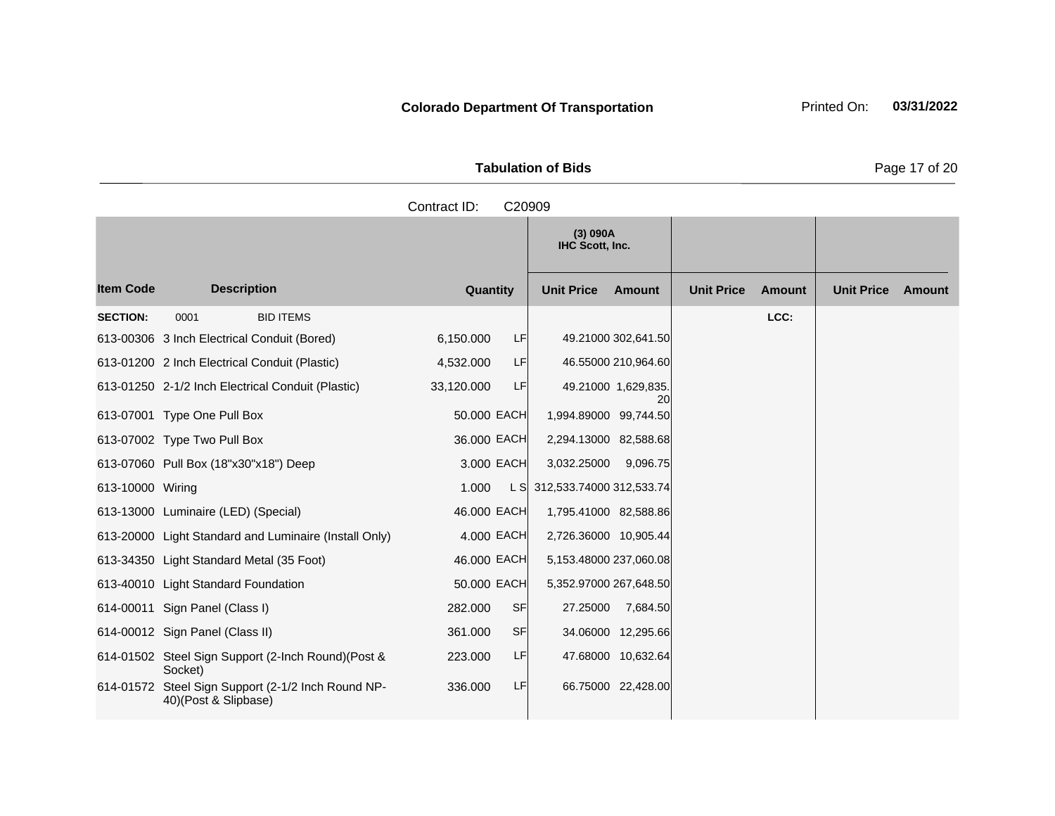Tabulation of Bids **Page 17 of 20** 

|                  |                                                                            | Contract ID:<br>C20909 |                              |                                    |                             |
|------------------|----------------------------------------------------------------------------|------------------------|------------------------------|------------------------------------|-----------------------------|
|                  |                                                                            |                        | (3) 090A<br>IHC Scott, Inc.  |                                    |                             |
| <b>Item Code</b> | <b>Description</b>                                                         | Quantity               | <b>Unit Price</b><br>Amount  | <b>Unit Price</b><br><b>Amount</b> | <b>Unit Price</b><br>Amount |
| <b>SECTION:</b>  | 0001<br><b>BID ITEMS</b>                                                   |                        |                              | LCC:                               |                             |
|                  | 613-00306 3 Inch Electrical Conduit (Bored)                                | LF<br>6,150.000        | 49.21000 302,641.50          |                                    |                             |
|                  | 613-01200 2 Inch Electrical Conduit (Plastic)                              | 4,532.000<br>LF        | 46.55000 210,964.60          |                                    |                             |
|                  | 613-01250 2-1/2 Inch Electrical Conduit (Plastic)                          | LF<br>33,120.000       | 49.21000 1,629,835.          |                                    |                             |
|                  | 613-07001 Type One Pull Box                                                | 50.000 EACH            | 20<br>1,994.89000 99,744.50  |                                    |                             |
|                  | 613-07002 Type Two Pull Box                                                | 36.000 EACH            | 2,294.13000 82,588.68        |                                    |                             |
|                  | 613-07060 Pull Box (18"x30"x18") Deep                                      | 3.000 EACH             | 3,032.25000<br>9,096.75      |                                    |                             |
| 613-10000 Wiring |                                                                            | 1.000                  | L S 312,533.74000 312,533.74 |                                    |                             |
|                  | 613-13000 Luminaire (LED) (Special)                                        | 46.000 EACH            | 1,795.41000 82,588.86        |                                    |                             |
|                  | 613-20000 Light Standard and Luminaire (Install Only)                      | 4.000 EACH             | 2,726.36000 10,905.44        |                                    |                             |
|                  | 613-34350 Light Standard Metal (35 Foot)                                   | 46.000 EACH            | 5,153.48000 237,060.08       |                                    |                             |
|                  | 613-40010 Light Standard Foundation                                        | 50.000 EACH            | 5,352.97000 267,648.50       |                                    |                             |
|                  | 614-00011 Sign Panel (Class I)                                             | <b>SF</b><br>282.000   | 27.25000<br>7,684.50         |                                    |                             |
|                  | 614-00012 Sign Panel (Class II)                                            | <b>SF</b><br>361.000   | 34.06000 12,295.66           |                                    |                             |
|                  | 614-01502 Steel Sign Support (2-Inch Round)(Post &<br>Socket)              | 223.000<br>LF          | 47.68000 10,632.64           |                                    |                             |
|                  | 614-01572 Steel Sign Support (2-1/2 Inch Round NP-<br>40)(Post & Slipbase) | LF<br>336,000          | 66.75000 22,428.00           |                                    |                             |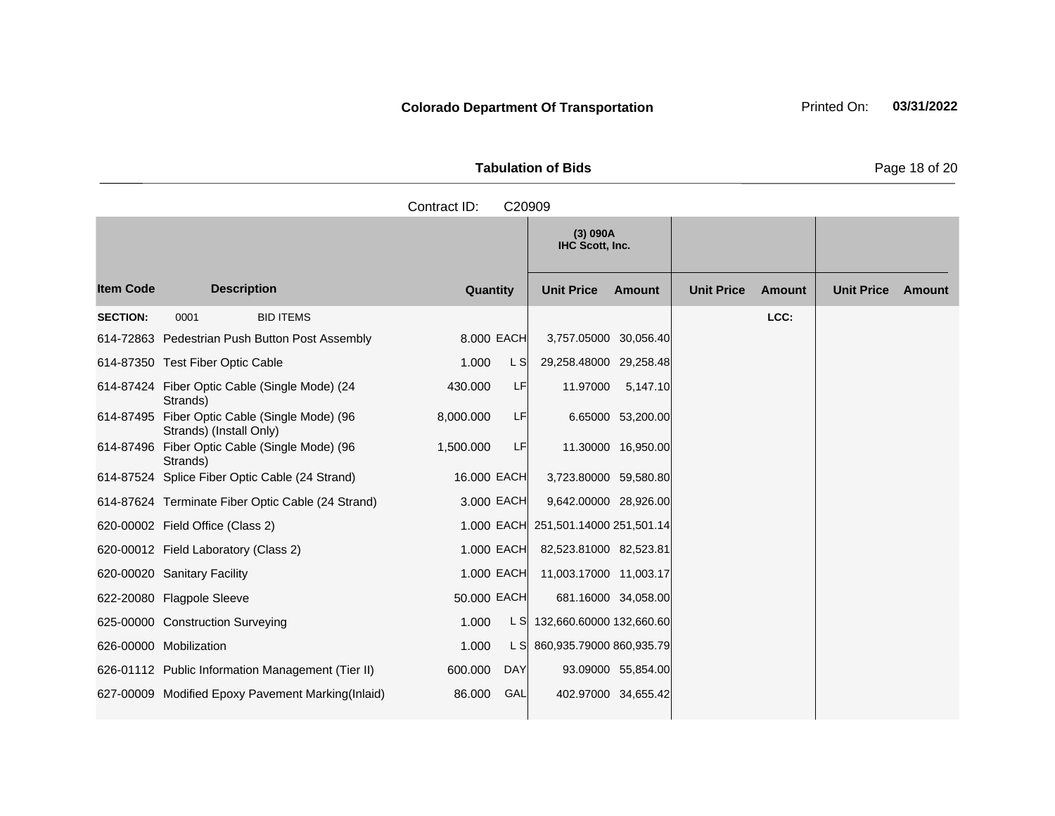**Tabulation of Bids Page 18 of 20** 

|                  |                                                                          | Contract ID: | C20909     |                                     |                    |                   |               |                   |        |
|------------------|--------------------------------------------------------------------------|--------------|------------|-------------------------------------|--------------------|-------------------|---------------|-------------------|--------|
|                  |                                                                          |              |            | (3) 090A<br>IHC Scott, Inc.         |                    |                   |               |                   |        |
| <b>Item Code</b> | <b>Description</b>                                                       | Quantity     |            | <b>Unit Price</b>                   | <b>Amount</b>      | <b>Unit Price</b> | <b>Amount</b> | <b>Unit Price</b> | Amount |
| <b>SECTION:</b>  | 0001<br><b>BID ITEMS</b>                                                 |              |            |                                     |                    |                   | LCC:          |                   |        |
|                  | 614-72863 Pedestrian Push Button Post Assembly                           | 8.000 EACH   |            | 3,757.05000 30,056.40               |                    |                   |               |                   |        |
|                  | 614-87350 Test Fiber Optic Cable                                         | 1.000        | L S        | 29,258.48000 29,258.48              |                    |                   |               |                   |        |
|                  | 614-87424 Fiber Optic Cable (Single Mode) (24<br>Strands)                | 430.000      | LF         | 11.97000                            | 5,147.10           |                   |               |                   |        |
|                  | 614-87495 Fiber Optic Cable (Single Mode) (96<br>Strands) (Install Only) | 8,000.000    | LF         |                                     | 6.65000 53,200.00  |                   |               |                   |        |
|                  | 614-87496 Fiber Optic Cable (Single Mode) (96<br>Strands)                | 1,500.000    | LF         |                                     | 11.30000 16,950.00 |                   |               |                   |        |
|                  | 614-87524 Splice Fiber Optic Cable (24 Strand)                           | 16.000 EACH  |            | 3,723.80000 59,580.80               |                    |                   |               |                   |        |
|                  | 614-87624 Terminate Fiber Optic Cable (24 Strand)                        | 3.000 EACH   |            | 9,642.00000 28,926.00               |                    |                   |               |                   |        |
|                  | 620-00002 Field Office (Class 2)                                         |              |            | 1.000 EACH 251,501.14000 251,501.14 |                    |                   |               |                   |        |
|                  | 620-00012 Field Laboratory (Class 2)                                     | 1.000 EACH   |            | 82,523.81000 82,523.81              |                    |                   |               |                   |        |
|                  | 620-00020 Sanitary Facility                                              | 1.000 EACH   |            | 11,003.17000 11,003.17              |                    |                   |               |                   |        |
|                  | 622-20080 Flagpole Sleeve                                                | 50.000 EACH  |            | 681.16000 34,058.00                 |                    |                   |               |                   |        |
|                  | 625-00000 Construction Surveying                                         | 1.000        |            | L S 132,660.60000 132,660.60        |                    |                   |               |                   |        |
|                  | 626-00000 Mobilization                                                   | 1.000        |            | L S 860,935.79000 860,935.79        |                    |                   |               |                   |        |
|                  | 626-01112 Public Information Management (Tier II)                        | 600.000      | <b>DAY</b> |                                     | 93.09000 55,854.00 |                   |               |                   |        |
|                  | 627-00009 Modified Epoxy Pavement Marking(Inlaid)                        | 86,000       | GAL        | 402.97000 34,655.42                 |                    |                   |               |                   |        |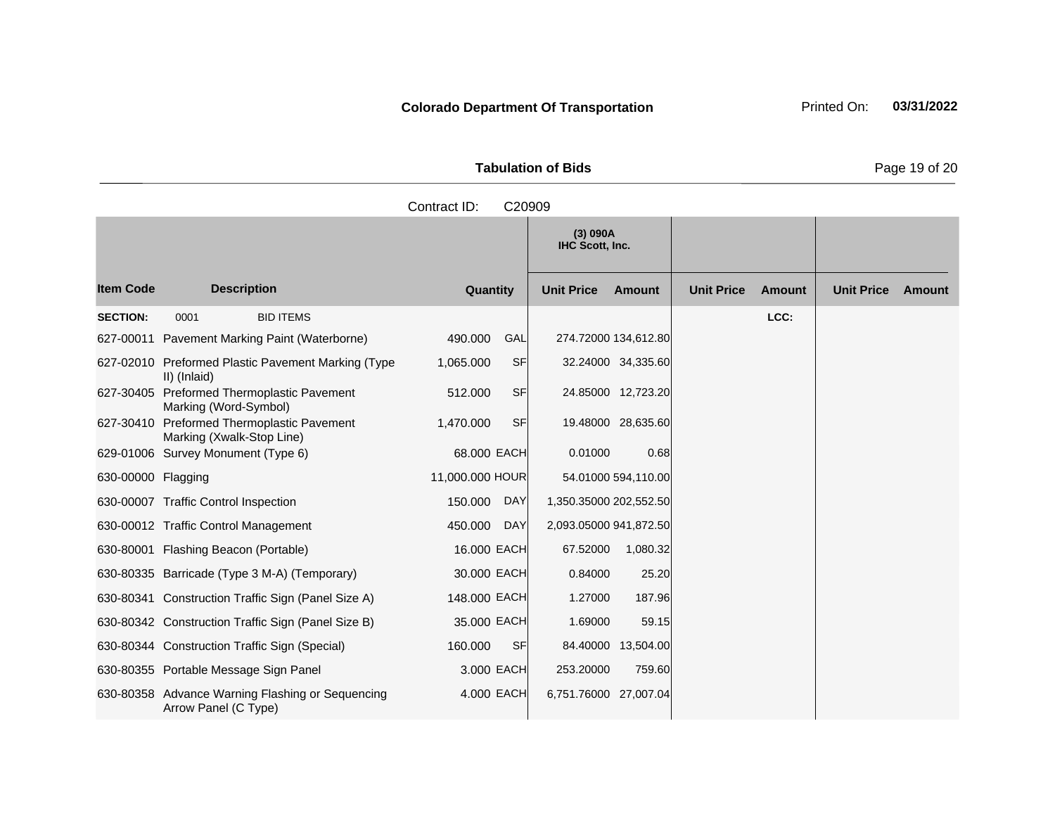Tabulation of Bids **Page 19 of 20** 

|                    |                                                                          | Contract ID:<br>C20909 |                                    |                                    |                             |
|--------------------|--------------------------------------------------------------------------|------------------------|------------------------------------|------------------------------------|-----------------------------|
|                    |                                                                          |                        | (3) 090A<br>IHC Scott, Inc.        |                                    |                             |
| <b>Item Code</b>   | <b>Description</b>                                                       | Quantity               | <b>Unit Price</b><br><b>Amount</b> | <b>Unit Price</b><br><b>Amount</b> | <b>Unit Price</b><br>Amount |
| <b>SECTION:</b>    | <b>BID ITEMS</b><br>0001                                                 |                        |                                    | LCC:                               |                             |
| 627-00011          | Pavement Marking Paint (Waterborne)                                      | 490.000<br>GAL         | 274.72000 134,612.80               |                                    |                             |
|                    | 627-02010 Preformed Plastic Pavement Marking (Type<br>II) (Inlaid)       | <b>SF</b><br>1,065.000 | 32.24000 34,335.60                 |                                    |                             |
|                    | 627-30405 Preformed Thermoplastic Pavement<br>Marking (Word-Symbol)      | <b>SF</b><br>512.000   | 24.85000 12,723.20                 |                                    |                             |
|                    | 627-30410 Preformed Thermoplastic Pavement<br>Marking (Xwalk-Stop Line)  | 1,470.000<br><b>SF</b> | 19.48000 28,635.60                 |                                    |                             |
|                    | 629-01006 Survey Monument (Type 6)                                       | 68.000 EACH            | 0.01000<br>0.68                    |                                    |                             |
| 630-00000 Flagging |                                                                          | 11,000.000 HOUR        | 54.01000 594,110.00                |                                    |                             |
|                    | 630-00007 Traffic Control Inspection                                     | 150.000<br><b>DAY</b>  | 1,350.35000 202,552.50             |                                    |                             |
|                    | 630-00012 Traffic Control Management                                     | <b>DAY</b><br>450.000  | 2,093.05000 941,872.50             |                                    |                             |
|                    | 630-80001 Flashing Beacon (Portable)                                     | 16.000 EACH            | 67.52000<br>1,080.32               |                                    |                             |
|                    | 630-80335 Barricade (Type 3 M-A) (Temporary)                             | 30.000 EACH            | 0.84000<br>25.20                   |                                    |                             |
|                    | 630-80341 Construction Traffic Sign (Panel Size A)                       | 148.000 EACH           | 1.27000<br>187.96                  |                                    |                             |
|                    | 630-80342 Construction Traffic Sign (Panel Size B)                       | 35.000 EACH            | 1.69000<br>59.15                   |                                    |                             |
|                    | 630-80344 Construction Traffic Sign (Special)                            | <b>SF</b><br>160.000   | 84.40000 13,504.00                 |                                    |                             |
|                    | 630-80355 Portable Message Sign Panel                                    | 3.000 EACH             | 253.20000<br>759.60                |                                    |                             |
|                    | 630-80358 Advance Warning Flashing or Sequencing<br>Arrow Panel (C Type) | 4,000 EACH             | 6,751.76000 27,007.04              |                                    |                             |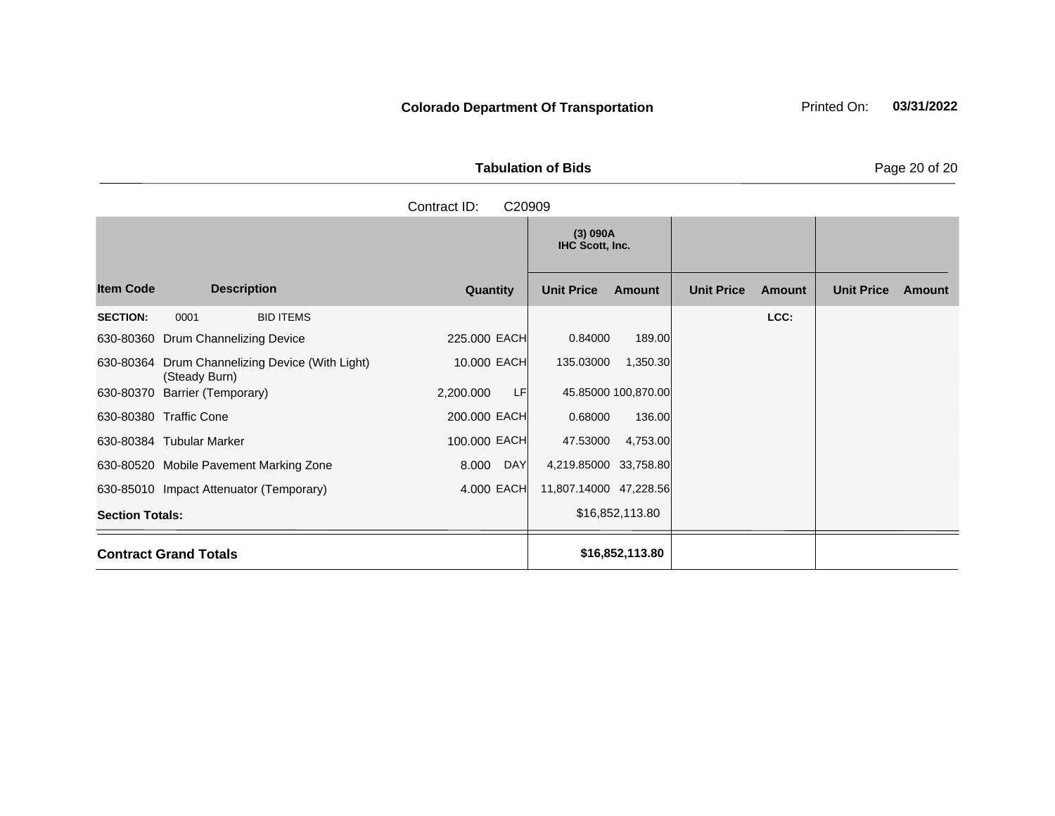Tabulation of Bids **Page 20 of 20** 

|                        |                                    |                                                 | Contract ID: | C20909    |                             |                     |                   |        |                   |        |
|------------------------|------------------------------------|-------------------------------------------------|--------------|-----------|-----------------------------|---------------------|-------------------|--------|-------------------|--------|
|                        |                                    |                                                 |              |           | (3) 090A<br>IHC Scott, Inc. |                     |                   |        |                   |        |
| <b>Item Code</b>       |                                    | <b>Description</b>                              | Quantity     |           | <b>Unit Price</b>           | <b>Amount</b>       | <b>Unit Price</b> | Amount | <b>Unit Price</b> | Amount |
| <b>SECTION:</b>        | 0001                               | <b>BID ITEMS</b>                                |              |           |                             |                     |                   | LCC:   |                   |        |
|                        | 630-80360 Drum Channelizing Device |                                                 | 225.000 EACH |           | 0.84000                     | 189.00              |                   |        |                   |        |
|                        | (Steady Burn)                      | 630-80364 Drum Channelizing Device (With Light) | 10.000 EACH  |           | 135.03000                   | 1,350.30            |                   |        |                   |        |
|                        | 630-80370 Barrier (Temporary)      |                                                 | 2,200.000    | <b>LF</b> |                             | 45.85000 100,870.00 |                   |        |                   |        |
|                        | 630-80380 Traffic Cone             |                                                 | 200.000 EACH |           | 0.68000                     | 136.00              |                   |        |                   |        |
|                        | 630-80384 Tubular Marker           |                                                 | 100.000 EACH |           | 47.53000                    | 4,753.00            |                   |        |                   |        |
|                        |                                    | 630-80520 Mobile Pavement Marking Zone          | 8.000        | DAY       | 4,219.85000 33,758.80       |                     |                   |        |                   |        |
|                        |                                    | 630-85010 Impact Attenuator (Temporary)         | 4.000 EACH   |           | 11,807.14000 47,228.56      |                     |                   |        |                   |        |
| <b>Section Totals:</b> |                                    |                                                 |              |           |                             | \$16,852,113.80     |                   |        |                   |        |
|                        | <b>Contract Grand Totals</b>       |                                                 |              |           |                             | \$16,852,113.80     |                   |        |                   |        |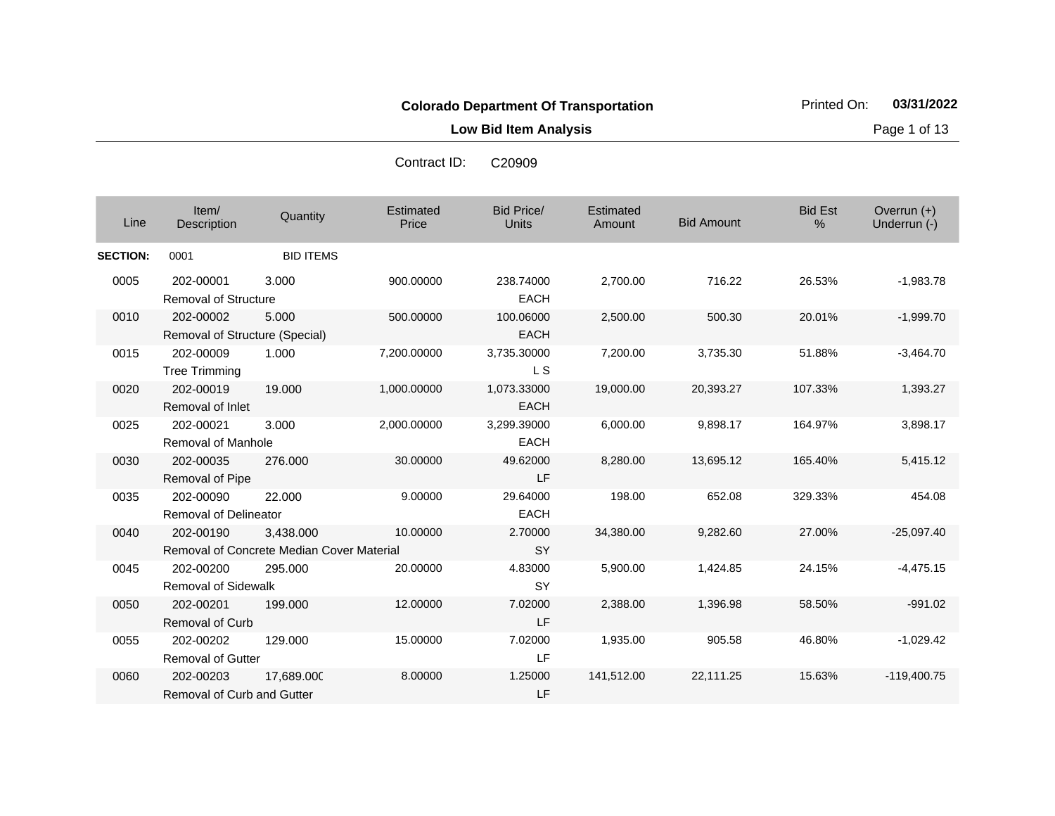**Low Bid Item Analysis Page 1 of 13** 

| Line            | Item/<br>Description                        | Quantity                                               | Estimated<br>Price | <b>Bid Price/</b><br><b>Units</b> | Estimated<br>Amount | <b>Bid Amount</b> | <b>Bid Est</b><br>% | Overrun (+)<br>Underrun (-) |
|-----------------|---------------------------------------------|--------------------------------------------------------|--------------------|-----------------------------------|---------------------|-------------------|---------------------|-----------------------------|
| <b>SECTION:</b> | 0001                                        | <b>BID ITEMS</b>                                       |                    |                                   |                     |                   |                     |                             |
| 0005            | 202-00001<br><b>Removal of Structure</b>    | 3.000                                                  | 900.00000          | 238.74000<br><b>EACH</b>          | 2,700.00            | 716.22            | 26.53%              | $-1,983.78$                 |
| 0010            | 202-00002<br>Removal of Structure (Special) | 5.000                                                  | 500.00000          | 100.06000<br><b>EACH</b>          | 2,500.00            | 500.30            | 20.01%              | $-1,999.70$                 |
| 0015            | 202-00009<br><b>Tree Trimming</b>           | 1.000                                                  | 7,200.00000        | 3,735.30000<br>L <sub>S</sub>     | 7,200.00            | 3,735.30          | 51.88%              | $-3,464.70$                 |
| 0020            | 202-00019<br>Removal of Inlet               | 19.000                                                 | 1,000.00000        | 1,073.33000<br><b>EACH</b>        | 19,000.00           | 20,393.27         | 107.33%             | 1,393.27                    |
| 0025            | 202-00021<br><b>Removal of Manhole</b>      | 3.000                                                  | 2,000.00000        | 3,299.39000<br><b>EACH</b>        | 6,000.00            | 9,898.17          | 164.97%             | 3,898.17                    |
| 0030            | 202-00035<br>Removal of Pipe                | 276.000                                                | 30.00000           | 49.62000<br>LF                    | 8,280.00            | 13,695.12         | 165.40%             | 5,415.12                    |
| 0035            | 202-00090<br><b>Removal of Delineator</b>   | 22.000                                                 | 9.00000            | 29.64000<br><b>EACH</b>           | 198.00              | 652.08            | 329.33%             | 454.08                      |
| 0040            | 202-00190                                   | 3.438.000<br>Removal of Concrete Median Cover Material | 10.00000           | 2.70000<br><b>SY</b>              | 34,380.00           | 9,282.60          | 27.00%              | $-25,097.40$                |
| 0045            | 202-00200<br><b>Removal of Sidewalk</b>     | 295.000                                                | 20.00000           | 4.83000<br>SY                     | 5,900.00            | 1,424.85          | 24.15%              | $-4,475.15$                 |
| 0050            | 202-00201<br><b>Removal of Curb</b>         | 199.000                                                | 12.00000           | 7.02000<br>LF                     | 2,388.00            | 1,396.98          | 58.50%              | $-991.02$                   |
| 0055            | 202-00202<br>Removal of Gutter              | 129.000                                                | 15.00000           | 7.02000<br>LF                     | 1,935.00            | 905.58            | 46.80%              | $-1,029.42$                 |
| 0060            | 202-00203<br>Removal of Curb and Gutter     | 17,689.000                                             | 8.00000            | 1.25000<br>LF                     | 141,512.00          | 22,111.25         | 15.63%              | $-119,400.75$               |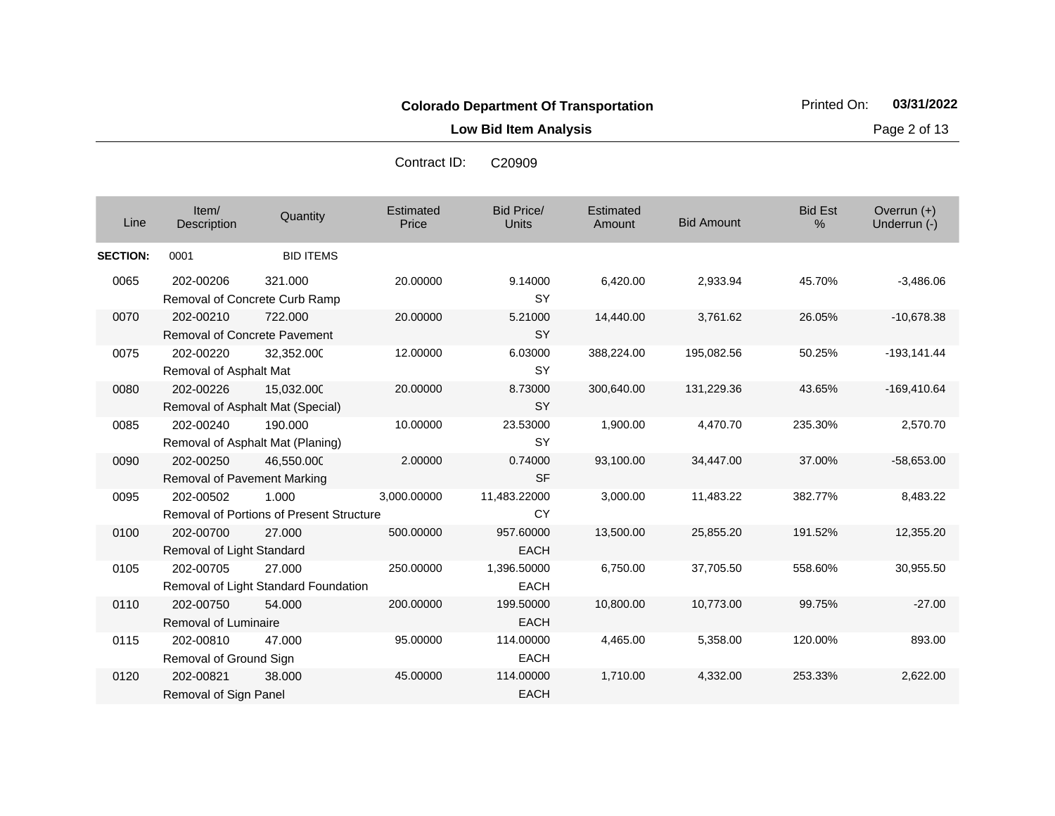**Low Bid Item Analysis Page 2 of 13** 

| Line            | Item/<br>Description                      | Quantity                                          | Estimated<br>Price | <b>Bid Price/</b><br><b>Units</b> | Estimated<br>Amount | <b>Bid Amount</b> | <b>Bid Est</b><br>$\%$ | Overrun $(+)$<br>Underrun (-) |
|-----------------|-------------------------------------------|---------------------------------------------------|--------------------|-----------------------------------|---------------------|-------------------|------------------------|-------------------------------|
| <b>SECTION:</b> | 0001                                      | <b>BID ITEMS</b>                                  |                    |                                   |                     |                   |                        |                               |
| 0065            | 202-00206                                 | 321.000<br>Removal of Concrete Curb Ramp          | 20.00000           | 9.14000<br><b>SY</b>              | 6,420.00            | 2,933.94          | 45.70%                 | $-3,486.06$                   |
| 0070            | 202-00210<br>Removal of Concrete Pavement | 722.000                                           | 20.00000           | 5.21000<br><b>SY</b>              | 14,440.00           | 3,761.62          | 26.05%                 | $-10,678.38$                  |
| 0075            | 202-00220<br>Removal of Asphalt Mat       | 32,352.000                                        | 12.00000           | 6.03000<br><b>SY</b>              | 388,224.00          | 195,082.56        | 50.25%                 | $-193,141.44$                 |
| 0080            | 202-00226                                 | 15,032.000<br>Removal of Asphalt Mat (Special)    | 20.00000           | 8.73000<br><b>SY</b>              | 300,640.00          | 131,229.36        | 43.65%                 | $-169,410.64$                 |
| 0085            | 202-00240                                 | 190.000<br>Removal of Asphalt Mat (Planing)       | 10.00000           | 23.53000<br><b>SY</b>             | 1,900.00            | 4,470.70          | 235.30%                | 2,570.70                      |
| 0090            | 202-00250<br>Removal of Pavement Marking  | 46,550.000                                        | 2.00000            | 0.74000<br><b>SF</b>              | 93,100.00           | 34,447.00         | 37.00%                 | $-58,653.00$                  |
| 0095            | 202-00502                                 | 1.000<br>Removal of Portions of Present Structure | 3,000.00000        | 11,483.22000<br><b>CY</b>         | 3,000.00            | 11,483.22         | 382.77%                | 8,483.22                      |
| 0100            | 202-00700<br>Removal of Light Standard    | 27,000                                            | 500.00000          | 957.60000<br><b>EACH</b>          | 13,500.00           | 25,855.20         | 191.52%                | 12,355.20                     |
| 0105            | 202-00705                                 | 27,000<br>Removal of Light Standard Foundation    | 250.00000          | 1,396.50000<br><b>EACH</b>        | 6,750.00            | 37,705.50         | 558.60%                | 30.955.50                     |
| 0110            | 202-00750<br>Removal of Luminaire         | 54.000                                            | 200.00000          | 199.50000<br><b>EACH</b>          | 10,800.00           | 10,773.00         | 99.75%                 | $-27.00$                      |
| 0115            | 202-00810<br>Removal of Ground Sign       | 47.000                                            | 95.00000           | 114.00000<br><b>EACH</b>          | 4,465.00            | 5,358.00          | 120.00%                | 893.00                        |
| 0120            | 202-00821<br>Removal of Sign Panel        | 38,000                                            | 45.00000           | 114.00000<br><b>EACH</b>          | 1,710.00            | 4,332.00          | 253.33%                | 2,622.00                      |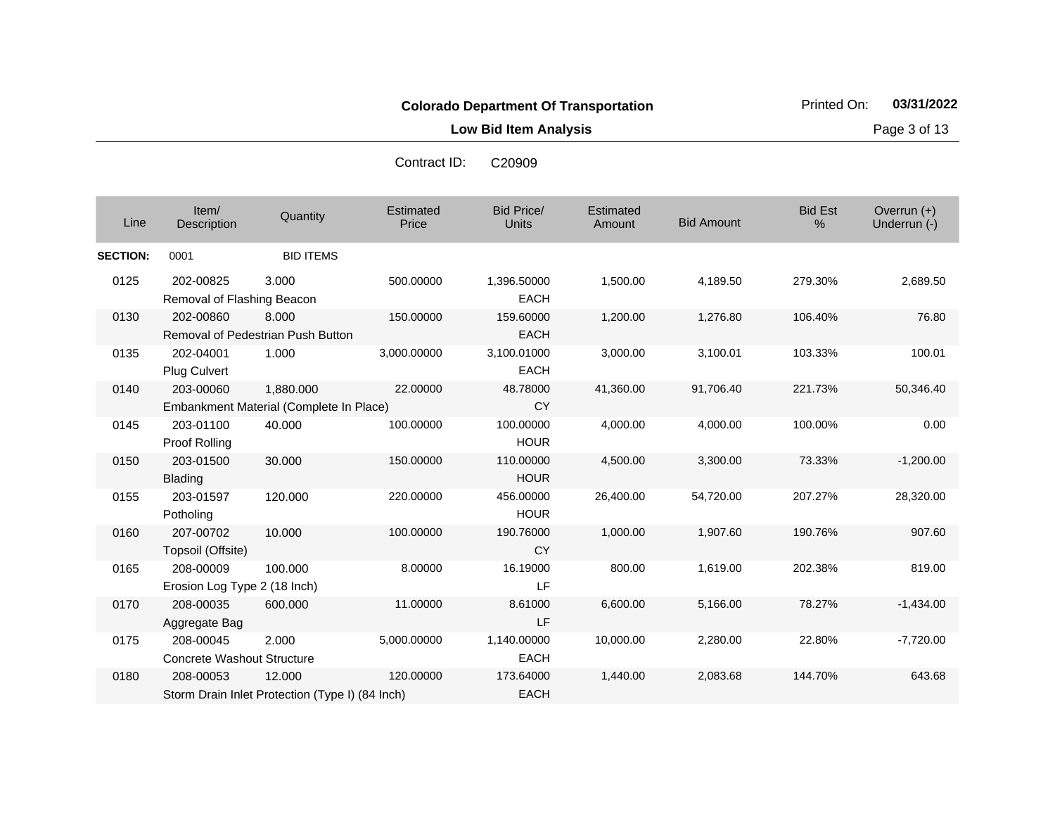**Low Bid Item Analysis Page 3 of 13** 

| Line            | Item/<br>Description                           | Quantity                                                  | Estimated<br>Price | <b>Bid Price/</b><br><b>Units</b> | Estimated<br>Amount | <b>Bid Amount</b> | <b>Bid Est</b><br>% | Overrun $(+)$<br>Underrun (-) |
|-----------------|------------------------------------------------|-----------------------------------------------------------|--------------------|-----------------------------------|---------------------|-------------------|---------------------|-------------------------------|
| <b>SECTION:</b> | 0001                                           | <b>BID ITEMS</b>                                          |                    |                                   |                     |                   |                     |                               |
| 0125            | 202-00825<br>Removal of Flashing Beacon        | 3.000                                                     | 500.00000          | 1,396.50000<br><b>EACH</b>        | 1,500.00            | 4,189.50          | 279.30%             | 2,689.50                      |
| 0130            | 202-00860                                      | 8.000<br>Removal of Pedestrian Push Button                | 150.00000          | 159.60000<br><b>EACH</b>          | 1,200.00            | 1,276.80          | 106.40%             | 76.80                         |
| 0135            | 202-04001<br><b>Plug Culvert</b>               | 1.000                                                     | 3,000.00000        | 3,100.01000<br><b>EACH</b>        | 3,000.00            | 3,100.01          | 103.33%             | 100.01                        |
| 0140            | 203-00060                                      | 1,880.000<br>Embankment Material (Complete In Place)      | 22.00000           | 48.78000<br><b>CY</b>             | 41,360.00           | 91,706.40         | 221.73%             | 50,346.40                     |
| 0145            | 203-01100<br>Proof Rolling                     | 40.000                                                    | 100.00000          | 100.00000<br><b>HOUR</b>          | 4,000.00            | 4,000.00          | 100.00%             | 0.00                          |
| 0150            | 203-01500<br><b>Blading</b>                    | 30.000                                                    | 150.00000          | 110.00000<br><b>HOUR</b>          | 4,500.00            | 3,300.00          | 73.33%              | $-1,200.00$                   |
| 0155            | 203-01597<br>Potholing                         | 120.000                                                   | 220.00000          | 456.00000<br><b>HOUR</b>          | 26,400.00           | 54,720.00         | 207.27%             | 28,320.00                     |
| 0160            | 207-00702<br>Topsoil (Offsite)                 | 10.000                                                    | 100.00000          | 190.76000<br><b>CY</b>            | 1,000.00            | 1,907.60          | 190.76%             | 907.60                        |
| 0165            | 208-00009<br>Erosion Log Type 2 (18 Inch)      | 100.000                                                   | 8.00000            | 16.19000<br>LF                    | 800.00              | 1,619.00          | 202.38%             | 819.00                        |
| 0170            | 208-00035<br>Aggregate Bag                     | 600,000                                                   | 11.00000           | 8.61000<br>LF                     | 6,600.00            | 5,166.00          | 78.27%              | $-1,434.00$                   |
| 0175            | 208-00045<br><b>Concrete Washout Structure</b> | 2.000                                                     | 5,000.00000        | 1,140.00000<br><b>EACH</b>        | 10,000.00           | 2,280.00          | 22.80%              | $-7,720.00$                   |
| 0180            | 208-00053                                      | 12,000<br>Storm Drain Inlet Protection (Type I) (84 Inch) | 120.00000          | 173.64000<br><b>EACH</b>          | 1,440.00            | 2,083.68          | 144.70%             | 643.68                        |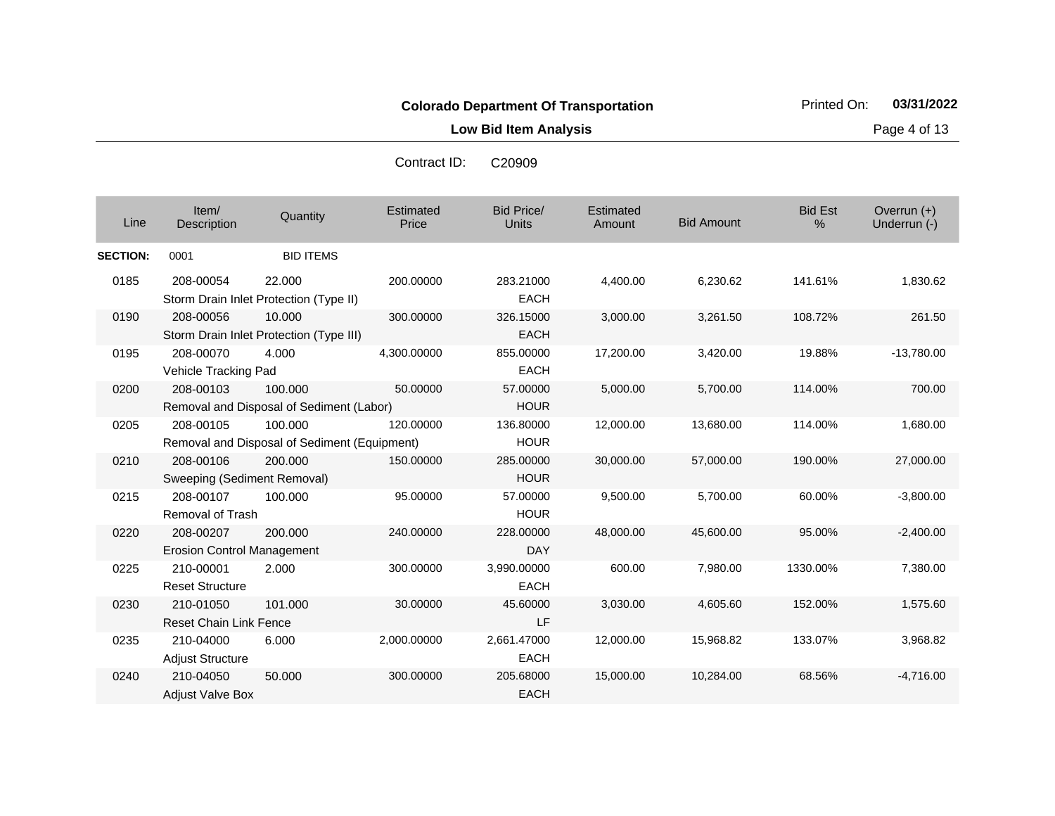**Low Bid Item Analysis Page 4 of 13** 

Bid Price/ Units **Amount** Bid Amount Overrun (+)<br>Underrun (-) الساحة المستحدة التي التي تعليم المستحدة التي تعليم التي التي يتم التي يتم التي التي التي تعليم التي التي التي<br>التي يتم التي يتم التي يتم التي يتم التي يتم التي يتم التي يتم التي يتم التي يتم التي يتم التي يتم التي يتم ال **Estimated Price Estimated** Amount Item/<br>Description Description Quantity Bid Est % **SECTION:** 0001 BID ITEMS 0185 208-00054 Storm Drain Inlet Protection (Type II) 22.000 200.00000 283.21000 EACH 4,400.00 6,230.62 141.61% 1,830.62 0190 208-00056 Storm Drain Inlet Protection (Type III) 10.000 300.00000 326.15000 **EACH** 3,000.00 3,261.50 108.72% 261.50 0195 208-00070 Vehicle Tracking Pad 4.000 4,300.00000 855.00000 EACH 17,200.00 3,420.00 19.88% -13,780.00 0200 208-00103 Removal and Disposal of Sediment (Labor) 100.000 50.00000 57.00000 **HOUR** 5,000.00 5,700.00 114.00% 700.00 0205 208-00105 Removal and Disposal of Sediment (Equipment) 100.000 120.00000 136.80000 HOUR 12,000.00 13,680.00 114.00% 1,680.00 0210 208-00106 Sweeping (Sediment Removal) 200.000 150.00000 285.00000 **HOUR** 30,000.00 57,000.00 190.00% 27,000.00 0215 208-00107 Removal of Trash 100.000 95.00000 57.00000 **HOUR** 9,500.00 5,700.00 60.00% -3,800.00 0220 208-00207 Erosion Control Management 200.000 240.00000 228.00000 DAY 48,000.00 45,600.00 95.00% -2,400.00 0225 210-00001 Reset Structure 2.000 300.00000 3,990.00000 EACH 600.00 7,980.00 1330.00% 7,380.00 0230 210-01050 Reset Chain Link Fence 101.000 30.00000 45.60000 LF 3,030.00 4,605.60 152.00% 1,575.60 0235 210-04000 Adjust Structure 6.000 2,000.00000 2,661.47000 EACH 12,000.00 15,968.82 133.07% 3,968.82 0240 210-04050 Adjust Valve Box 50.000 300.00000 205.68000 EACH 15,000.00 10,284.00 68.56% -4,716.00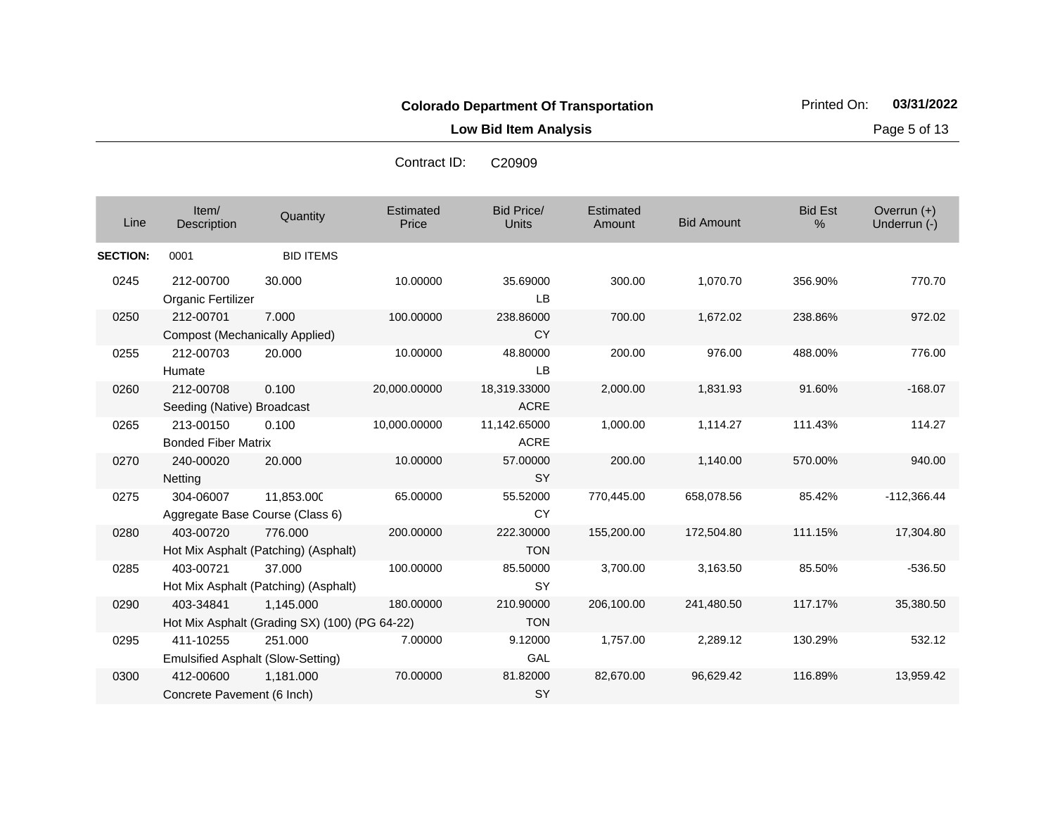**Low Bid Item Analysis Page 5 of 13** 

| Line            | Item/<br>Description                                  | Quantity                                                   | Estimated<br>Price | <b>Bid Price/</b><br><b>Units</b> | Estimated<br>Amount | <b>Bid Amount</b> | <b>Bid Est</b><br>% | Overrun (+)<br>Underrun (-) |
|-----------------|-------------------------------------------------------|------------------------------------------------------------|--------------------|-----------------------------------|---------------------|-------------------|---------------------|-----------------------------|
| <b>SECTION:</b> | 0001                                                  | <b>BID ITEMS</b>                                           |                    |                                   |                     |                   |                     |                             |
| 0245            | 212-00700<br>Organic Fertilizer                       | 30.000                                                     | 10.00000           | 35.69000<br><b>LB</b>             | 300.00              | 1,070.70          | 356.90%             | 770.70                      |
| 0250            | 212-00701                                             | 7.000                                                      | 100.00000          | 238.86000                         | 700.00              | 1,672.02          | 238.86%             | 972.02                      |
|                 | <b>Compost (Mechanically Applied)</b>                 |                                                            |                    | <b>CY</b>                         |                     |                   |                     |                             |
| 0255            | 212-00703<br>Humate                                   | 20,000                                                     | 10.00000           | 48.80000<br><b>LB</b>             | 200.00              | 976.00            | 488.00%             | 776.00                      |
| 0260            | 212-00708<br>Seeding (Native) Broadcast               | 0.100                                                      | 20,000.00000       | 18,319.33000<br><b>ACRE</b>       | 2,000.00            | 1,831.93          | 91.60%              | $-168.07$                   |
| 0265            | 213-00150<br><b>Bonded Fiber Matrix</b>               | 0.100                                                      | 10,000.00000       | 11,142.65000<br><b>ACRE</b>       | 1,000.00            | 1,114.27          | 111.43%             | 114.27                      |
| 0270            | 240-00020<br><b>Netting</b>                           | 20.000                                                     | 10.00000           | 57.00000<br><b>SY</b>             | 200.00              | 1,140.00          | 570.00%             | 940.00                      |
| 0275            | 304-06007                                             | 11,853.000<br>Aggregate Base Course (Class 6)              | 65.00000           | 55.52000<br>CY                    | 770,445.00          | 658,078.56        | 85.42%              | $-112,366.44$               |
| 0280            | 403-00720                                             | 776.000<br>Hot Mix Asphalt (Patching) (Asphalt)            | 200.00000          | 222.30000<br><b>TON</b>           | 155,200.00          | 172,504.80        | 111.15%             | 17,304.80                   |
| 0285            | 403-00721                                             | 37.000<br>Hot Mix Asphalt (Patching) (Asphalt)             | 100.00000          | 85.50000<br>SY                    | 3,700.00            | 3,163.50          | 85.50%              | $-536.50$                   |
| 0290            | 403-34841                                             | 1,145.000<br>Hot Mix Asphalt (Grading SX) (100) (PG 64-22) | 180.00000          | 210.90000<br><b>TON</b>           | 206,100.00          | 241,480.50        | 117.17%             | 35,380.50                   |
| 0295            | 411-10255<br><b>Emulsified Asphalt (Slow-Setting)</b> | 251.000                                                    | 7.00000            | 9.12000<br>GAL                    | 1,757.00            | 2,289.12          | 130.29%             | 532.12                      |
| 0300            | 412-00600<br>Concrete Pavement (6 Inch)               | 1,181.000                                                  | 70.00000           | 81.82000<br>SY                    | 82,670.00           | 96,629.42         | 116.89%             | 13,959.42                   |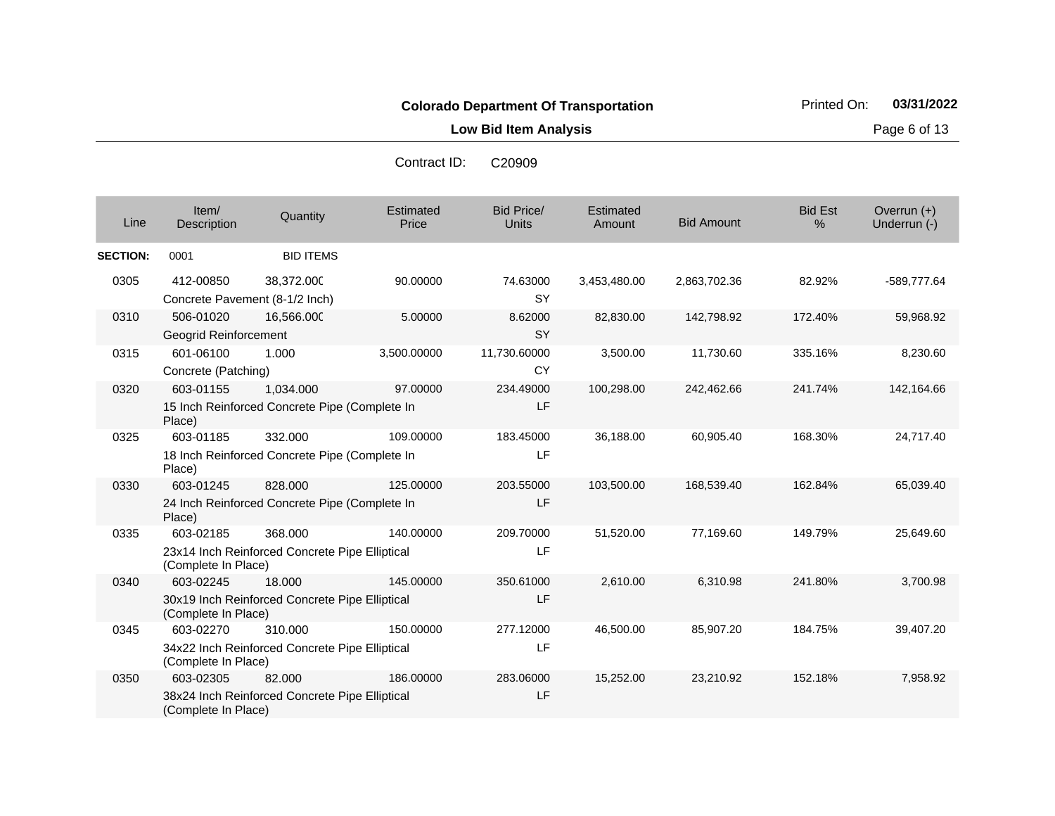**Low Bid Item Analysis Page 6 of 13** 

| Contract ID: | C <sub>20909</sub> |
|--------------|--------------------|
|              |                    |

| Line            | Item/<br>Description                        | Quantity                                                   | Estimated<br>Price | <b>Bid Price/</b><br><b>Units</b> | <b>Estimated</b><br>Amount | <b>Bid Amount</b> | <b>Bid Est</b><br>$\%$ | Overrun $(+)$<br>Underrun (-) |
|-----------------|---------------------------------------------|------------------------------------------------------------|--------------------|-----------------------------------|----------------------------|-------------------|------------------------|-------------------------------|
| <b>SECTION:</b> | 0001                                        | <b>BID ITEMS</b>                                           |                    |                                   |                            |                   |                        |                               |
| 0305            | 412-00850<br>Concrete Pavement (8-1/2 Inch) | 38,372.000                                                 | 90.00000           | 74.63000<br><b>SY</b>             | 3,453,480.00               | 2,863,702.36      | 82.92%                 | -589,777.64                   |
| 0310            | 506-01020<br>Geogrid Reinforcement          | 16,566.000                                                 | 5.00000            | 8.62000<br><b>SY</b>              | 82,830.00                  | 142,798.92        | 172.40%                | 59,968.92                     |
| 0315            | 601-06100<br>Concrete (Patching)            | 1.000                                                      | 3,500.00000        | 11,730.60000<br><b>CY</b>         | 3,500.00                   | 11,730.60         | 335.16%                | 8,230.60                      |
| 0320            | 603-01155<br>Place)                         | 1,034.000<br>15 Inch Reinforced Concrete Pipe (Complete In | 97.00000           | 234.49000<br>LF                   | 100,298.00                 | 242,462.66        | 241.74%                | 142,164.66                    |
| 0325            | 603-01185<br>Place)                         | 332.000<br>18 Inch Reinforced Concrete Pipe (Complete In   | 109.00000          | 183.45000<br>LF.                  | 36,188.00                  | 60,905.40         | 168.30%                | 24,717.40                     |
| 0330            | 603-01245<br>Place)                         | 828.000<br>24 Inch Reinforced Concrete Pipe (Complete In   | 125.00000          | 203.55000<br>LF                   | 103,500.00                 | 168,539.40        | 162.84%                | 65,039.40                     |
| 0335            | 603-02185<br>(Complete In Place)            | 368.000<br>23x14 Inch Reinforced Concrete Pipe Elliptical  | 140.00000          | 209.70000<br>LF                   | 51,520.00                  | 77,169.60         | 149.79%                | 25,649.60                     |
| 0340            | 603-02245<br>(Complete In Place)            | 18.000<br>30x19 Inch Reinforced Concrete Pipe Elliptical   | 145.00000          | 350.61000<br>LF                   | 2,610.00                   | 6,310.98          | 241.80%                | 3,700.98                      |
| 0345            | 603-02270<br>(Complete In Place)            | 310.000<br>34x22 Inch Reinforced Concrete Pipe Elliptical  | 150.00000          | 277.12000<br>LF                   | 46,500.00                  | 85,907.20         | 184.75%                | 39,407.20                     |
| 0350            | 603-02305<br>(Complete In Place)            | 82.000<br>38x24 Inch Reinforced Concrete Pipe Elliptical   | 186,00000          | 283.06000<br>LF                   | 15,252.00                  | 23,210.92         | 152.18%                | 7,958.92                      |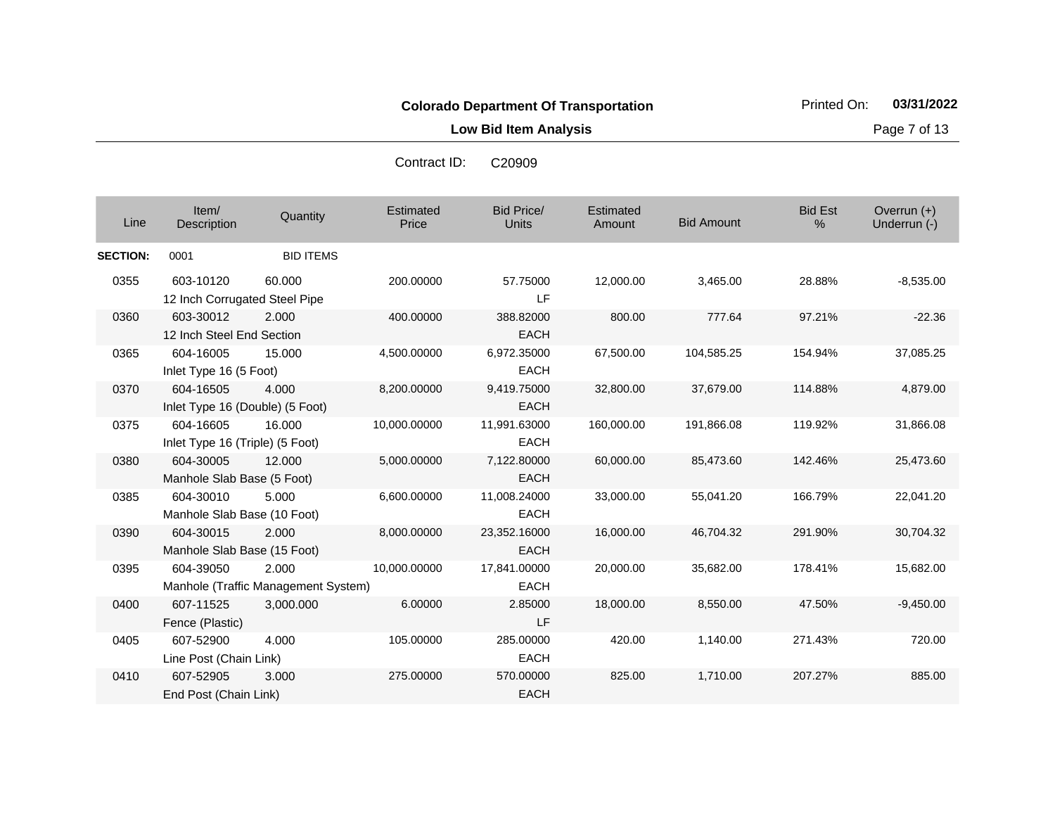**Low Bid Item Analysis Page 7 of 13** 

Bid Price/ Units **Amount** Bid Amount Overrun (+)<br>Underrun (-) الساحة المستحدة التي التي تعليم المستحدة التي تعليم التي التي يتم التي يتم التي التي التي تعليم التي التي التي<br>التي يتم التي يتم التي يتم التي يتم التي يتم التي يتم التي يتم التي يتم التي يتم التي يتم التي يتم التي يتم ال **Estimated Price Estimated** Amount Item/<br>Description Description Quantity Bid Est % **SECTION:** 0001 BID ITEMS 0355 603-10120 12 Inch Corrugated Steel Pipe 60.000 200.00000 57.75000 LF 12,000.00 3,465.00 28.88% -8,535.00 0360 603-30012 12 Inch Steel End Section 2.000 400.00000 388.82000 **EACH** 800.00 777.64 97.21% -22.36 0365 604-16005 Inlet Type 16 (5 Foot) 15.000 4,500.00000 6,972.35000 EACH 67,500.00 104,585.25 154.94% 37,085.25 0370 604-16505 Inlet Type 16 (Double) (5 Foot) 4.000 8,200.00000 9,419.75000 EACH 32,800.00 37,679.00 114.88% 4,879.00 0375 604-16605 Inlet Type 16 (Triple) (5 Foot) 16.000 10,000.00000 11,991.63000 EACH 160,000.00 191,866.08 119.92% 31,866.08 0380 604-30005 Manhole Slab Base (5 Foot) 12.000 5,000.00000 7,122.80000 EACH 60,000.00 85,473.60 142.46% 25,473.60 0385 604-30010 Manhole Slab Base (10 Foot) 5.000 6,600.00000 11,008.24000 EACH 33,000.00 55,041.20 166.79% 22,041.20 0390 604-30015 Manhole Slab Base (15 Foot) 2.000 8,000.00000 23,352.16000 EACH 16,000.00 46,704.32 291.90% 30,704.32 0395 604-39050 Manhole (Traffic Management System) 2.000 10,000.00000 17,841.00000 EACH 20,000.00 35,682.00 178.41% 15,682.00 0400 607-11525 Fence (Plastic) 3,000.000 6.00000 2.85000 LF 18,000.00 8,550.00 47.50% -9,450.00 0405 607-52900 Line Post (Chain Link) 4.000 105.00000 285.00000 EACH 420.00 1,140.00 271.43% 720.00 0410 607-52905 End Post (Chain Link) 3.000 275.00000 570.00000 EACH 825.00 1,710.00 207.27% 885.00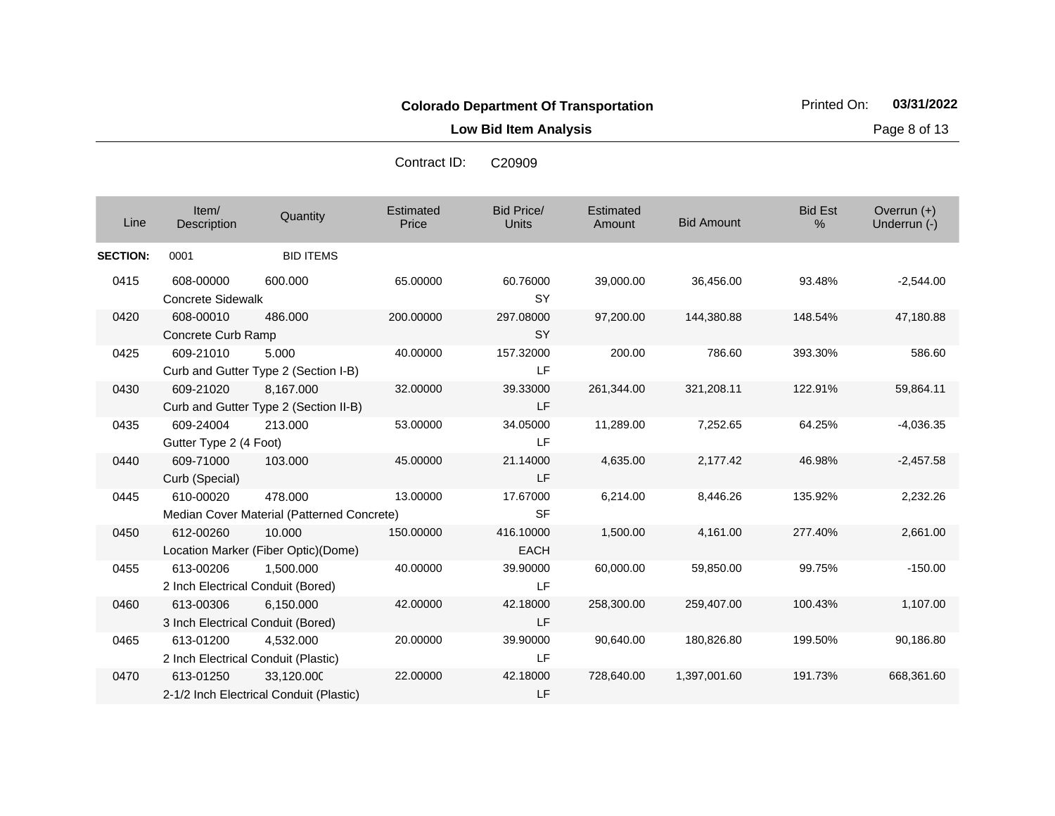**Low Bid Item Analysis Page 8 of 13** 

Bid Price/ Units **Amount** Bid Amount Overrun (+)<br>Underrun (-) الساحة المستحدة التي التي تعليم المستحدة التي تعليم التي التي يتم التي يتم التي التي التي تعليم التي التي التي<br>التي يتم التي يتم التي يتم التي يتم التي يتم التي يتم التي يتم التي يتم التي يتم التي يتم التي يتم التي يتم ال **Estimated Price Estimated** Amount Item/<br>Description Description Quantity Bid Est % **SECTION:** 0001 BID ITEMS 0415 608-00000 Concrete Sidewalk 600.000 65.00000 60.76000 **SY** 39,000.00 36,456.00 93.48% -2,544.00 0420 608-00010 Concrete Curb Ramp 486.000 200.00000 297.08000 **SY** 97,200.00 144,380.88 148.54% 47,180.88 0425 609-21010 Curb and Gutter Type 2 (Section I-B) 5.000 40.00000 157.32000 LF 200.00 786.60 393.30% 586.60 0430 609-21020 Curb and Gutter Type 2 (Section II-B) 8,167.000 32.00000 39.33000 LF 261,344.00 321,208.11 122.91% 59,864.11 0435 609-24004 Gutter Type 2 (4 Foot) 213.000 53.00000 34.05000 LF 11,289.00 7,252.65 64.25% -4,036.35 0440 609-71000 Curb (Special) 103.000 45.00000 21.14000 LF 4,635.00 2,177.42 46.98% -2,457.58 0445 610-00020 Median Cover Material (Patterned Concrete) 478.000 13.00000 17.67000 SF 6,214.00 8,446.26 135.92% 2,232.26 0450 612-00260 Location Marker (Fiber Optic)(Dome) 10.000 150.00000 416.10000 **EACH** 1,500.00 4,161.00 277.40% 2,661.00 0455 613-00206 2 Inch Electrical Conduit (Bored) 1,500.000 40.00000 39.90000 LF 60,000.00 59,850.00 99.75% -150.00 0460 613-00306 3 Inch Electrical Conduit (Bored) 6,150.000 42.00000 42.18000 LF 258,300.00 259,407.00 100.43% 1,107.00 0465 613-01200 2 Inch Electrical Conduit (Plastic) 4,532.000 20.00000 39.90000 LF 90,640.00 180,826.80 199.50% 90,186.80 0470 613-01250 2-1/2 Inch Electrical Conduit (Plastic) 33,120.000 22.00000 42.18000 LF 728,640.00 1,397,001.60 191.73% 668,361.60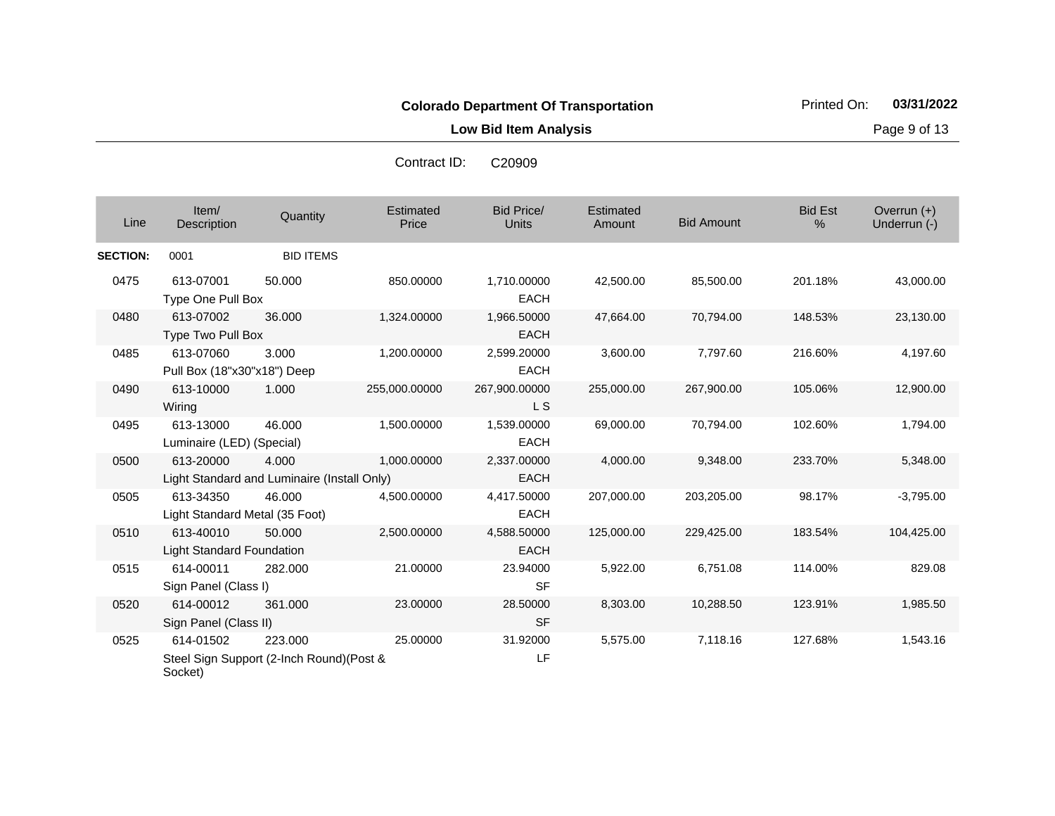Contract ID: C20909

**Low Bid Item Analysis Page 9 of 13** 

| Line            | Item/<br>Description                          | Quantity                                             | Estimated<br>Price | <b>Bid Price/</b><br><b>Units</b> | Estimated<br>Amount | <b>Bid Amount</b> | <b>Bid Est</b><br>$\%$ | Overrun (+)<br>Underrun (-) |
|-----------------|-----------------------------------------------|------------------------------------------------------|--------------------|-----------------------------------|---------------------|-------------------|------------------------|-----------------------------|
| <b>SECTION:</b> | 0001                                          | <b>BID ITEMS</b>                                     |                    |                                   |                     |                   |                        |                             |
| 0475            | 613-07001<br>Type One Pull Box                | 50.000                                               | 850.00000          | 1,710.00000<br><b>EACH</b>        | 42,500.00           | 85,500.00         | 201.18%                | 43,000.00                   |
| 0480            | 613-07002<br>Type Two Pull Box                | 36.000                                               | 1,324.00000        | 1,966.50000<br><b>EACH</b>        | 47,664.00           | 70,794.00         | 148.53%                | 23,130.00                   |
| 0485            | 613-07060<br>Pull Box (18"x30"x18") Deep      | 3.000                                                | 1,200.00000        | 2,599.20000<br><b>EACH</b>        | 3,600.00            | 7,797.60          | 216.60%                | 4,197.60                    |
| 0490            | 613-10000<br>Wiring                           | 1.000                                                | 255,000.00000      | 267,900.00000<br>L S              | 255,000.00          | 267,900.00        | 105.06%                | 12,900.00                   |
| 0495            | 613-13000<br>Luminaire (LED) (Special)        | 46.000                                               | 1,500.00000        | 1,539.00000<br>EACH               | 69,000.00           | 70,794.00         | 102.60%                | 1,794.00                    |
| 0500            | 613-20000                                     | 4.000<br>Light Standard and Luminaire (Install Only) | 1,000.00000        | 2,337.00000<br><b>EACH</b>        | 4,000.00            | 9,348.00          | 233.70%                | 5,348.00                    |
| 0505            | 613-34350<br>Light Standard Metal (35 Foot)   | 46.000                                               | 4,500.00000        | 4,417.50000<br>EACH               | 207,000.00          | 203,205.00        | 98.17%                 | $-3,795.00$                 |
| 0510            | 613-40010<br><b>Light Standard Foundation</b> | 50.000                                               | 2,500.00000        | 4,588.50000<br><b>EACH</b>        | 125,000.00          | 229,425.00        | 183.54%                | 104,425.00                  |
| 0515            | 614-00011<br>Sign Panel (Class I)             | 282.000                                              | 21.00000           | 23.94000<br><b>SF</b>             | 5,922.00            | 6,751.08          | 114.00%                | 829.08                      |
| 0520            | 614-00012<br>Sign Panel (Class II)            | 361.000                                              | 23.00000           | 28.50000<br><b>SF</b>             | 8,303.00            | 10,288.50         | 123.91%                | 1,985.50                    |
| 0525            | 614-01502<br>Socket)                          | 223.000<br>Steel Sign Support (2-Inch Round)(Post &  | 25.00000           | 31.92000<br>LF                    | 5,575.00            | 7,118.16          | 127.68%                | 1,543.16                    |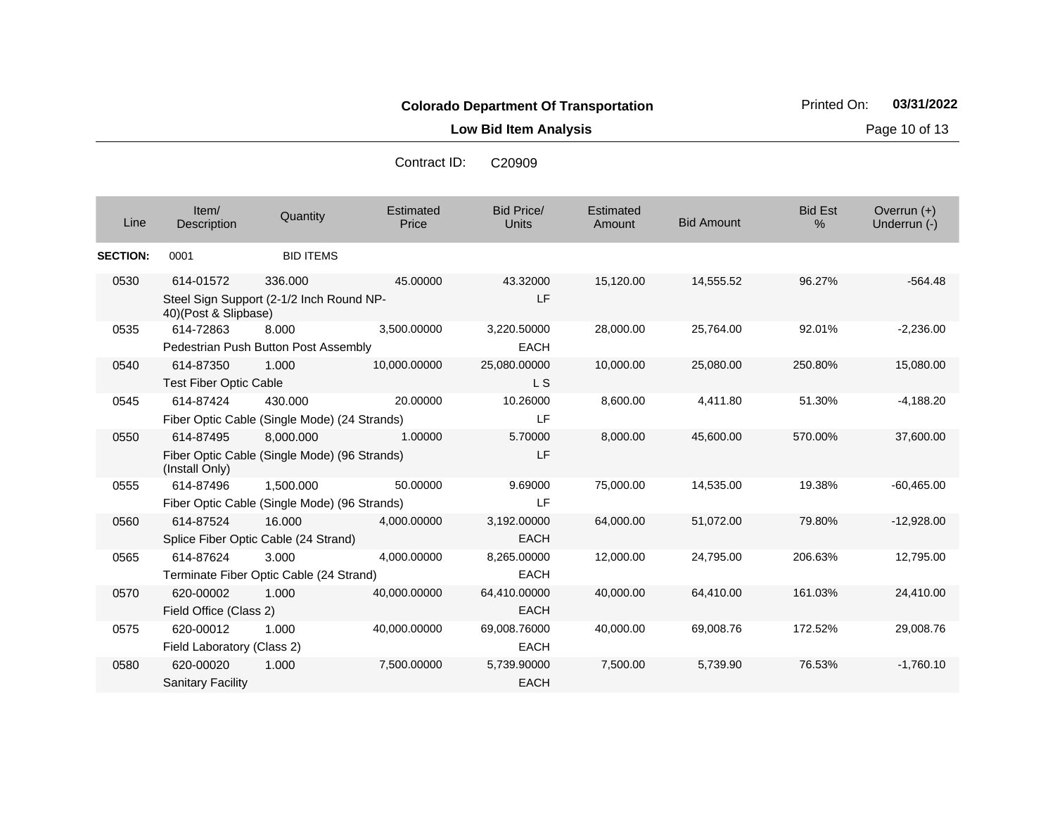**Low Bid Item Analysis Contract Contract Contract Contract Contract Page 10 of 13** 

| Contract ID: | C <sub>20909</sub> |
|--------------|--------------------|
|              |                    |

| Line            | Item/<br>Description                       | Quantity                                                  | Estimated<br>Price | <b>Bid Price/</b><br><b>Units</b> | Estimated<br>Amount | <b>Bid Amount</b> | <b>Bid Est</b><br>% | Overrun $(+)$<br>Underrun (-) |
|-----------------|--------------------------------------------|-----------------------------------------------------------|--------------------|-----------------------------------|---------------------|-------------------|---------------------|-------------------------------|
| <b>SECTION:</b> | 0001                                       | <b>BID ITEMS</b>                                          |                    |                                   |                     |                   |                     |                               |
| 0530            | 614-01572<br>40)(Post & Slipbase)          | 336.000<br>Steel Sign Support (2-1/2 Inch Round NP-       | 45.00000           | 43.32000<br>LF                    | 15,120.00           | 14,555.52         | 96.27%              | $-564.48$                     |
| 0535            | 614-72863                                  | 8.000<br>Pedestrian Push Button Post Assembly             | 3,500.00000        | 3,220.50000<br><b>EACH</b>        | 28,000.00           | 25,764.00         | 92.01%              | $-2,236.00$                   |
| 0540            | 614-87350<br><b>Test Fiber Optic Cable</b> | 1.000                                                     | 10,000.00000       | 25,080.00000<br>L S               | 10,000.00           | 25,080.00         | 250.80%             | 15,080.00                     |
| 0545            | 614-87424                                  | 430.000<br>Fiber Optic Cable (Single Mode) (24 Strands)   | 20.00000           | 10.26000<br>LF                    | 8,600.00            | 4,411.80          | 51.30%              | $-4,188.20$                   |
| 0550            | 614-87495<br>(Install Only)                | 8.000.000<br>Fiber Optic Cable (Single Mode) (96 Strands) | 1.00000            | 5.70000<br>LF                     | 8,000.00            | 45,600.00         | 570.00%             | 37,600.00                     |
| 0555            | 614-87496                                  | 1,500.000<br>Fiber Optic Cable (Single Mode) (96 Strands) | 50.00000           | 9.69000<br>LF                     | 75,000.00           | 14,535.00         | 19.38%              | $-60,465.00$                  |
| 0560            | 614-87524                                  | 16.000<br>Splice Fiber Optic Cable (24 Strand)            | 4,000.00000        | 3,192.00000<br><b>EACH</b>        | 64,000.00           | 51,072.00         | 79.80%              | $-12,928.00$                  |
| 0565            | 614-87624                                  | 3.000<br>Terminate Fiber Optic Cable (24 Strand)          | 4,000.00000        | 8,265.00000<br><b>EACH</b>        | 12,000.00           | 24,795.00         | 206.63%             | 12,795.00                     |
| 0570            | 620-00002<br>Field Office (Class 2)        | 1.000                                                     | 40,000.00000       | 64,410.00000<br><b>EACH</b>       | 40,000.00           | 64,410.00         | 161.03%             | 24,410.00                     |
| 0575            | 620-00012<br>Field Laboratory (Class 2)    | 1.000                                                     | 40,000.00000       | 69,008.76000<br><b>EACH</b>       | 40,000.00           | 69,008.76         | 172.52%             | 29,008.76                     |
| 0580            | 620-00020<br><b>Sanitary Facility</b>      | 1.000                                                     | 7,500.00000        | 5,739.90000<br><b>EACH</b>        | 7,500.00            | 5,739.90          | 76.53%              | $-1,760.10$                   |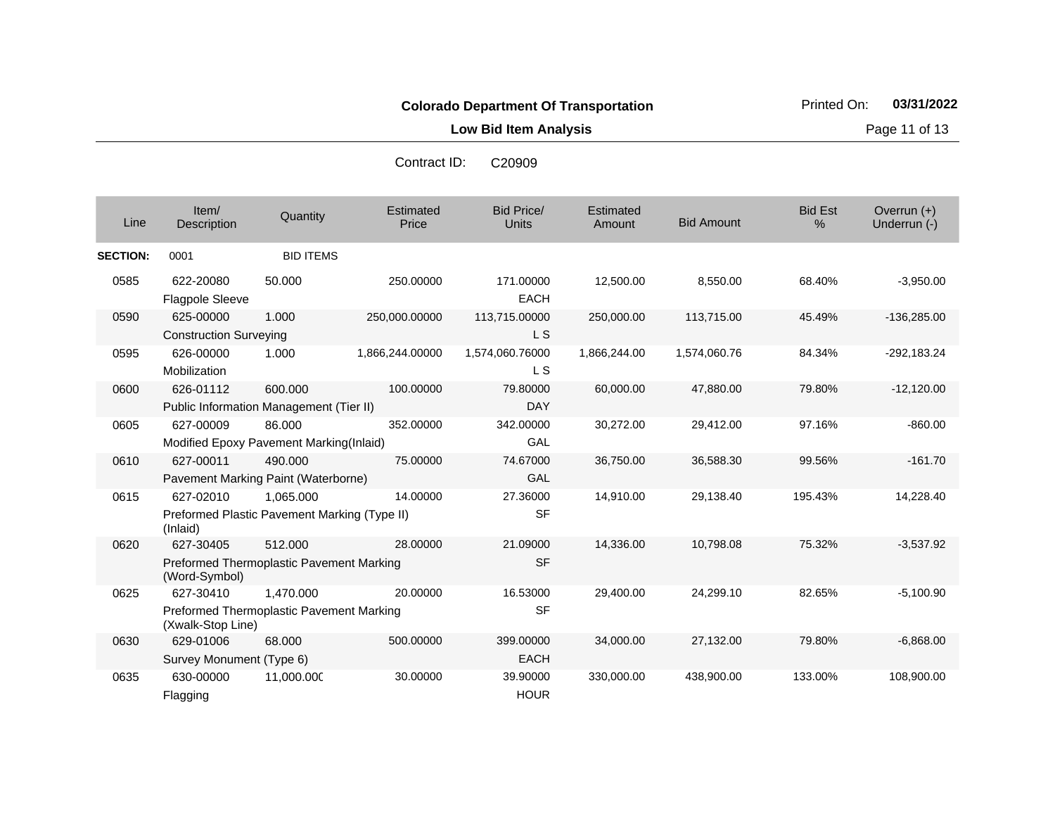**Low Bid Item Analysis Page 11 of 13** 

Bid Price/ Units **Amount** Bid Amount Overrun (+)<br>Underrun (-) الساحة المستحدة التي التي تعليم المستحدة التي تعليم التي التي يتم التي يتم التي التي التي تعليم التي التي التي<br>التي يتم التي يتم التي يتم التي يتم التي يتم التي يتم التي يتم التي يتم التي يتم التي يتم التي يتم التي يتم ال **Estimated Price Estimated** Amount Item/ Description Quantity Bid Est % **SECTION:** 0001 BID ITEMS 0585 622-20080 Flagpole Sleeve 50.000 250.00000 171.00000 EACH 12,500.00 8,550.00 68.40% -3,950.00 0590 625-00000 Construction Surveying 1.000 250,000.00000 113,715.00000 L S 250,000.00 113,715.00 45.49% -136,285.00 0595 626-00000 Mobilization 1.000 1,866,244.00000 1,574,060.76000 L S 1,866,244.00 1,574,060.76 84.34% -292,183.24 0600 626-01112 Public Information Management (Tier II) 600.000 100.00000 79.80000 DAY 60,000.00 47,880.00 79.80% -12,120.00 0605 627-00009 Modified Epoxy Pavement Marking(Inlaid) 86.000 352.00000 342.00000 GAL 30,272.00 29,412.00 97.16% -860.00 0610 627-00011 Pavement Marking Paint (Waterborne) 490.000 75.00000 74.67000 GAL 36,750.00 36,588.30 99.56% -161.70 0615 627-02010 Preformed Plastic Pavement Marking (Type II) (Inlaid) 1,065.000 14.00000 27.36000 SF 14,910.00 29,138.40 195.43% 14,228.40 0620 627-30405 Preformed Thermoplastic Pavement Marking (Word-Symbol) 512.000 28.00000 21.09000 SF 14,336.00 10,798.08 75.32% -3,537.92 0625 627-30410 Preformed Thermoplastic Pavement Marking (Xwalk-Stop Line) 1,470.000 20.00000 16.53000 SF 29,400.00 24,299.10 82.65% -5,100.90 0630 629-01006 Survey Monument (Type 6) 68.000 500.00000 399.00000 EACH 34,000.00 27,132.00 79.80% -6,868.00 0635 630-00000 Flagging 11,000.000 30.00000 39.90000 **HOUR** 330,000.00 438,900.00 133.00% 108,900.00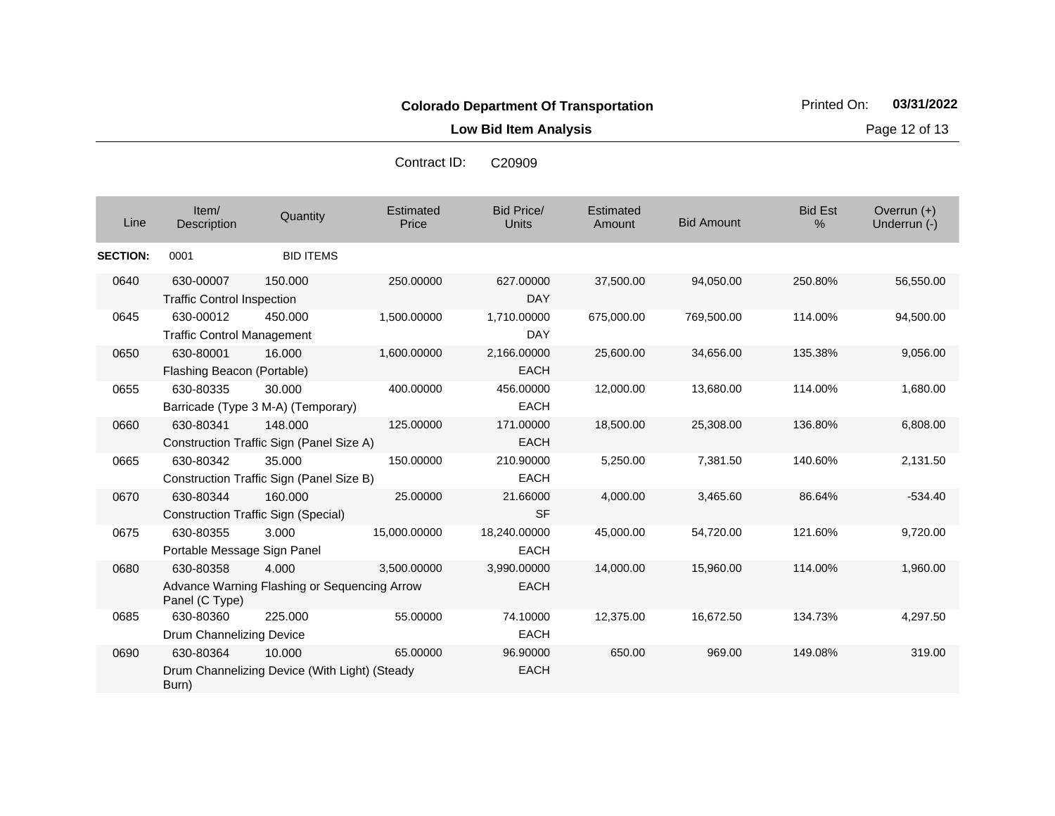**Low Bid Item Analysis Page 12 of 13** 

Bid Price/ Units **Amount** Bid Amount Overrun (+)<br>Underrun (-) الساحة المستحدة التي التي تعليم المستحدة التي تعليم التي التي يتم التي يتم التي التي التي تعليم التي التي التي<br>التي يتم التي يتم التي يتم التي يتم التي يتم التي يتم التي يتم التي يتم التي يتم التي يتم التي يتم التي يتم ال **Estimated Price Estimated** Amount Item/<br>Description Description Quantity Bid Est % **SECTION:** 0001 BID ITEMS 0640 630-00007 Traffic Control Inspection 150.000 250.00000 627.00000 DAY 37,500.00 94,050.00 250.80% 56,550.00 0645 630-00012 Traffic Control Management 450.000 1,500.00000 1,710.00000 DAY 675,000.00 769,500.00 114.00% 94,500.00 0650 630-80001 Flashing Beacon (Portable) 16.000 1,600.00000 2,166.00000 EACH 25,600.00 34,656.00 135.38% 9,056.00 0655 630-80335 Barricade (Type 3 M-A) (Temporary) 30.000 400.00000 456.00000 EACH 12,000.00 13,680.00 114.00% 1,680.00 0660 630-80341 Construction Traffic Sign (Panel Size A) 148.000 125.00000 171.00000 **EACH** 18,500.00 25,308.00 136.80% 6,808.00 0665 630-80342 Construction Traffic Sign (Panel Size B) 35.000 150.00000 210.90000 EACH 5,250.00 7,381.50 140.60% 2,131.50 0670 630-80344 Construction Traffic Sign (Special) 160.000 25.00000 21.66000 SF 4,000.00 3,465.60 86.64% -534.40 0675 630-80355 Portable Message Sign Panel 3.000 15,000.00000 18,240.00000 EACH 45,000.00 54,720.00 121.60% 9,720.00 0680 630-80358 Advance Warning Flashing or Sequencing Arrow Panel (C Type) 4.000 3,500.00000 3,990.00000 EACH 14,000.00 15,960.00 114.00% 1,960.00 0685 630-80360 Drum Channelizing Device 225.000 55.00000 74.10000 **EACH** 12,375.00 16,672.50 134.73% 4,297.50 0690 630-80364 Drum Channelizing Device (With Light) (Steady Burn) 10.000 65.00000 96.90000 EACH 650.00 969.00 149.08% 319.00